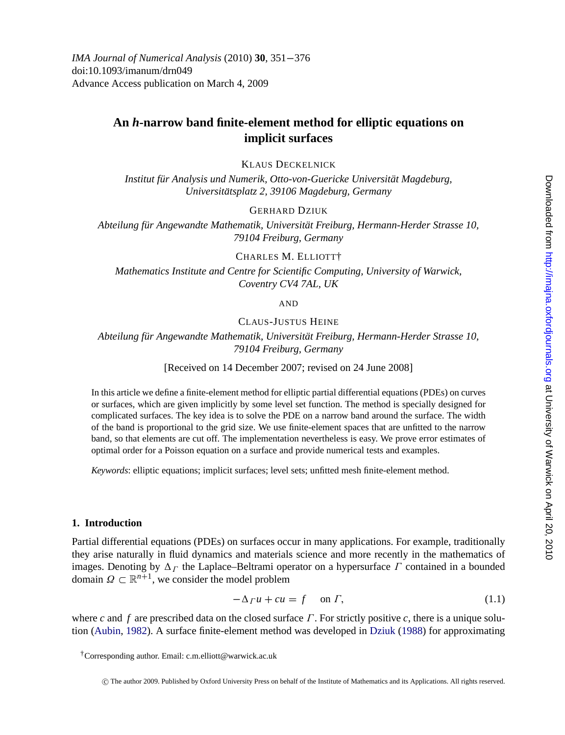<span id="page-0-0"></span>*IMA Journal of Numerical Analysis* (2010) **30**, 351−376 doi:10.1093/imanum/drn049 Advance Access publication on March 4, 2009

# **An** *h***-narrow band finite-element method for elliptic equations on implicit surfaces**

KLAUS DECKELNICK

*Institut für Analysis und Numerik, Otto-von-Guericke Universität Magdeburg, Universitatsplatz 2, 39106 Magdeburg, Germany ¨*

GERHARD DZIUK

*Abteilung fur Angewandte Mathematik, Universit ¨ at Freiburg, Hermann-Herder Strasse 10, ¨ 79104 Freiburg, Germany*

CHARLES M. ELLIOTT†

*Mathematics Institute and Centre for Scientific Computing, University of Warwick, Coventry CV4 7AL, UK*

AND

CLAUS-HISTUS HEINE

*Abteilung fur Angewandte Mathematik, Universit ¨ at Freiburg, Hermann-Herder Strasse 10, ¨ 79104 Freiburg, Germany*

[Received on 14 December 2007; revised on 24 June 2008]

In this article we define a finite-element method for elliptic partial differential equations (PDEs) on curves or surfaces, which are given implicitly by some level set function. The method is specially designed for complicated surfaces. The key idea is to solve the PDE on a narrow band around the surface. The width of the band is proportional to the grid size. We use finite-element spaces that are unfitted to the narrow band, so that elements are cut off. The implementation nevertheless is easy. We prove error estimates of optimal order for a Poisson equation on a surface and provide numerical tests and examples.

*Keywords*: elliptic equations; implicit surfaces; level sets; unfitted mesh finite-element method.

# **1. Introduction**

Partial differential equations (PDEs) on surfaces occur in many applications. For example, traditionally they arise naturally in fluid dynamics and materials science and more recently in the mathematics of images. Denoting by  $\Delta \Gamma$  the Laplace–Beltrami operator on a hypersurface  $\Gamma$  contained in a bounded domain  $\Omega \subset \mathbb{R}^{n+1}$ , we consider the model problem

$$
-\Delta_{\Gamma} u + cu = f \quad \text{on } \Gamma,
$$
\n(1.1)

where *c* and *f* are prescribed data on the closed surface Γ . For strictly positive *c*, there is a unique solution ([Aubin](#page-24-0), [1982](#page-24-0)). A surface finite-element method was developed in [Dziuk](#page-24-0) [\(1988\)](#page-24-0) for approximating

†Corresponding author. Email: c.m.elliott@warwick.ac.uk

c The author 2009. Published by Oxford University Press on behalf of the Institute of Mathematics and its Applications. All rights reserved.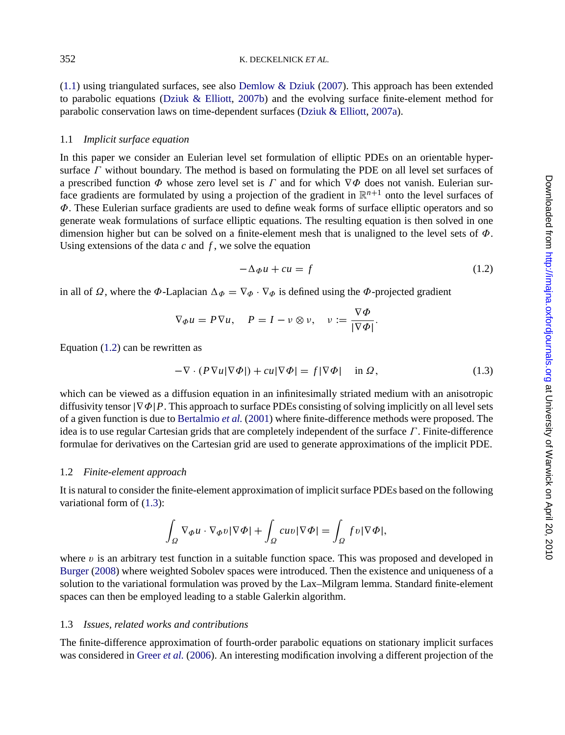<span id="page-1-0"></span>[\(1.1\)](#page-0-0) using triangulated surfaces, see also [Demlow & Dziuk](#page-24-0) [\(2007](#page-24-0)). This approach has been extended to parabolic equations ([Dziuk & Elliott,](#page-24-0) [2007b\)](#page-24-0) and the evolving surface finite-element method for parabolic conservation laws on time-dependent surfaces [\(Dziuk & Elliott](#page-24-0), [2007a\)](#page-24-0).

#### 1.1 *Implicit surface equation*

In this paper we consider an Eulerian level set formulation of elliptic PDEs on an orientable hypersurface  $\Gamma$  without boundary. The method is based on formulating the PDE on all level set surfaces of a prescribed function  $\Phi$  whose zero level set is  $\Gamma$  and for which  $\nabla \Phi$  does not vanish. Eulerian surface gradients are formulated by using a projection of the gradient in  $\mathbb{R}^{n+1}$  onto the level surfaces of Φ. These Eulerian surface gradients are used to define weak forms of surface elliptic operators and so generate weak formulations of surface elliptic equations. The resulting equation is then solved in one dimension higher but can be solved on a finite-element mesh that is unaligned to the level sets of  $\Phi$ . Using extensions of the data *c* and *f* , we solve the equation

$$
-\Delta_{\Phi}u + cu = f \tag{1.2}
$$

in all of  $\Omega$ , where the  $\Phi$ -Laplacian  $\Delta_{\Phi} = \nabla_{\Phi} \cdot \nabla_{\Phi}$  is defined using the  $\Phi$ -projected gradient

$$
\nabla_{\Phi} u = P \nabla u, \quad P = I - \nu \otimes \nu, \quad \nu := \frac{\nabla \Phi}{|\nabla \Phi|}.
$$

Equation (1.2) can be rewritten as

$$
-\nabla \cdot (P\nabla u|\nabla \Phi|) + cu|\nabla \Phi| = f|\nabla \Phi| \quad \text{in } \Omega,
$$
 (1.3)

which can be viewed as a diffusion equation in an infinitesimally striated medium with an anisotropic diffusivity tensor |∇Φ|*P*. This approach to surface PDEs consisting of solving implicitly on all level sets of a given function is due to [Bertalmio](#page-24-0) *et al.* ([2001\)](#page-24-0) where finite-difference methods were proposed. The idea is to use regular Cartesian grids that are completely independent of the surface  $\Gamma$ . Finite-difference formulae for derivatives on the Cartesian grid are used to generate approximations of the implicit PDE.

### 1.2 *Finite-element approach*

It is natural to consider the finite-element approximation of implicit surface PDEs based on the following variational form of (1.3):

$$
\int_{\Omega} \nabla_{\Phi} u \cdot \nabla_{\Phi} v |\nabla \Phi| + \int_{\Omega} cuv |\nabla \Phi| = \int_{\Omega} fv |\nabla \Phi|,
$$

where v is an arbitrary test function in a suitable function space. This was proposed and developed in [Burger](#page-24-0) ([2008\)](#page-24-0) where weighted Sobolev spaces were introduced. Then the existence and uniqueness of a solution to the variational formulation was proved by the Lax–Milgram lemma. Standard finite-element spaces can then be employed leading to a stable Galerkin algorithm.

# 1.3 *Issues, related works and contributions*

The finite-difference approximation of fourth-order parabolic equations on stationary implicit surfaces was considered in [Greer](#page-24-0) *et al.* [\(2006](#page-24-0)). An interesting modification involving a different projection of the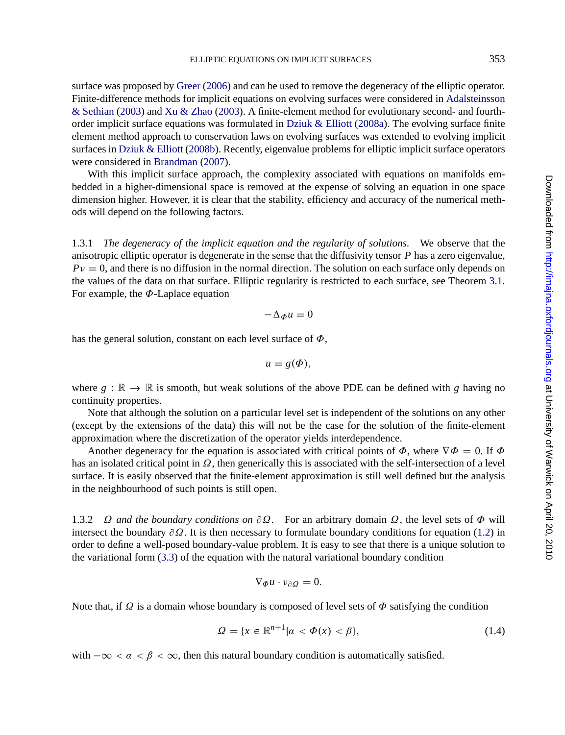<span id="page-2-0"></span>surface was proposed by [Greer](#page-25-0) ([2006\)](#page-25-0) and can be used to remove the degeneracy of the elliptic operator. Finite-difference methods for implicit equations on evolving surfaces were considered in [Adalsteinsson](#page-24-0) [& Sethian](#page-24-0) ([2003\)](#page-24-0) and [Xu & Zhao](#page-25-0) [\(2003](#page-25-0)). A finite-element method for evolutionary second- and fourthorder implicit surface equations was formulated in [Dziuk & Elliott](#page-24-0) ([2008a](#page-24-0)). The evolving surface finite element method approach to conservation laws on evolving surfaces was extended to evolving implicit surfaces in [Dziuk & Elliott](#page-24-0) [\(2008b](#page-24-0)). Recently, eigenvalue problems for elliptic implicit surface operators were considered in [Brandman](#page-24-0) [\(2007](#page-24-0)).

With this implicit surface approach, the complexity associated with equations on manifolds embedded in a higher-dimensional space is removed at the expense of solving an equation in one space dimension higher. However, it is clear that the stability, efficiency and accuracy of the numerical methods will depend on the following factors.

1.3.1 *The degeneracy of the implicit equation and the regularity of solutions.* We observe that the anisotropic elliptic operator is degenerate in the sense that the diffusivity tensor *P* has a zero eigenvalue,  $Pv = 0$ , and there is no diffusion in the normal direction. The solution on each surface only depends on the values of the data on that surface. Elliptic regularity is restricted to each surface, see Theorem [3.1.](#page-8-0) For example, the  $\Phi$ -Laplace equation

$$
-\Delta \phi u = 0
$$

has the general solution, constant on each level surface of  $\Phi$ ,

$$
u=g(\Phi),
$$

where  $g : \mathbb{R} \to \mathbb{R}$  is smooth, but weak solutions of the above PDE can be defined with g having no continuity properties.

Note that although the solution on a particular level set is independent of the solutions on any other (except by the extensions of the data) this will not be the case for the solution of the finite-element approximation where the discretization of the operator yields interdependence.

Another degeneracy for the equation is associated with critical points of  $\Phi$ , where  $\nabla \Phi = 0$ . If  $\Phi$ has an isolated critical point in  $\Omega$ , then generically this is associated with the self-intersection of a level surface. It is easily observed that the finite-element approximation is still well defined but the analysis in the neighbourhood of such points is still open.

1.3.2  $\Omega$  *and the boundary conditions on*  $\partial \Omega$ . For an arbitrary domain  $\Omega$ , the level sets of  $\Phi$  will intersect the boundary  $\partial \Omega$ . It is then necessary to formulate boundary conditions for equation ([1.2](#page-1-0)) in order to define a well-posed boundary-value problem. It is easy to see that there is a unique solution to the variational form ([3.3](#page-8-0)) of the equation with the natural variational boundary condition

$$
\nabla_{\Phi} u \cdot \nu_{\partial \Omega} = 0.
$$

Note that, if  $\Omega$  is a domain whose boundary is composed of level sets of  $\Phi$  satisfying the condition

$$
\Omega = \{x \in \mathbb{R}^{n+1} | a < \Phi(x) < \beta\},\tag{1.4}
$$

with  $-\infty < \alpha < \beta < \infty$ , then this natural boundary condition is automatically satisfied.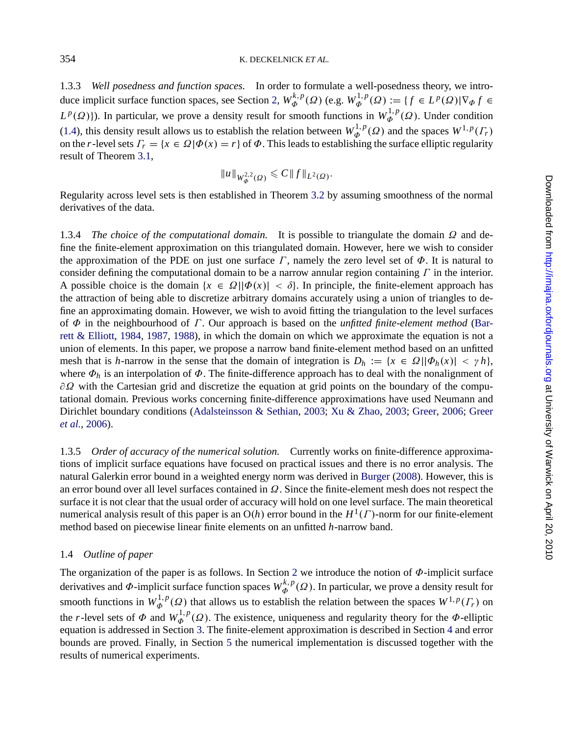1.3.3 *Well posedness and function spaces.* In order to formulate a well-posedness theory, we intro-duce implicit surface function spaces, see Section [2,](#page-4-0)  $W_{\Phi}^{k,p}(\Omega)$  (e.g.  $W_{\Phi}^{1,p}(\Omega) := \{ f \in L^p(\Omega) | \nabla_{\Phi} f \in L^p(\Omega) \}$  $L^p(\Omega)$ }). In particular, we prove a density result for smooth functions in  $W^{1,p}_\Phi(\Omega)$ . Under condition [\(1.4\)](#page-2-0), this density result allows us to establish the relation between  $W_{\phi}^{1,p}(\Omega)$  and the spaces  $W^{1,p}(\Gamma_r)$ on the *r*-level sets  $\Gamma_r = \{x \in \Omega | \Phi(x) = r\}$  of  $\Phi$ . This leads to establishing the surface elliptic regularity result of Theorem [3.1](#page-8-0),

$$
||u||_{W^{2,2}_{\Phi}(\Omega)} \leq C||f||_{L^2(\Omega)}.
$$

Regularity across level sets is then established in Theorem [3.2](#page-12-0) by assuming smoothness of the normal derivatives of the data.

1.3.4 *The choice of the computational domain.* It is possible to triangulate the domain  $\Omega$  and define the finite-element approximation on this triangulated domain. However, here we wish to consider the approximation of the PDE on just one surface  $\Gamma$ , namely the zero level set of  $\Phi$ . It is natural to consider defining the computational domain to be a narrow annular region containing  $\Gamma$  in the interior. A possible choice is the domain  $\{x \in \Omega | |\Phi(x)| < \delta\}$ . In principle, the finite-element approach has the attraction of being able to discretize arbitrary domains accurately using a union of triangles to define an approximating domain. However, we wish to avoid fitting the triangulation to the level surfaces of Φ in the neighbourhood of Γ . Our approach is based on the *unfitted finite-element method* [\(Bar](#page-24-0)[rett & Elliott](#page-24-0), [1984,](#page-24-0) [1987](#page-24-0), [1988](#page-24-0)), in which the domain on which we approximate the equation is not a union of elements. In this paper, we propose a narrow band finite-element method based on an unfitted mesh that is *h*-narrow in the sense that the domain of integration is  $D_h := \{x \in \Omega | |\Phi_h(x)| < \gamma h\}$ , where  $\Phi_h$  is an interpolation of  $\Phi$ . The finite-difference approach has to deal with the nonalignment of  $\partial\Omega$  with the Cartesian grid and discretize the equation at grid points on the boundary of the computational domain. Previous works concerning finite-difference approximations have used Neumann and Dirichlet boundary conditions ([Adalsteinsson & Sethian,](#page-24-0) [2003](#page-24-0); [Xu & Zhao](#page-25-0), [2003;](#page-25-0) [Greer](#page-25-0), [2006](#page-25-0); [Greer](#page-24-0) *[et al.](#page-24-0)*, [2006\)](#page-24-0).

1.3.5 *Order of accuracy of the numerical solution.* Currently works on finite-difference approximations of implicit surface equations have focused on practical issues and there is no error analysis. The natural Galerkin error bound in a weighted energy norm was derived in [Burger](#page-24-0) ([2008\)](#page-24-0). However, this is an error bound over all level surfaces contained in  $\Omega$ . Since the finite-element mesh does not respect the surface it is not clear that the usual order of accuracy will hold on one level surface. The main theoretical numerical analysis result of this paper is an O(*h*) error bound in the *H*1(Γ )-norm for our finite-element method based on piecewise linear finite elements on an unfitted *h*-narrow band.

# 1.4 *Outline of paper*

The organization of the paper is as follows. In Section [2](#page-4-0) we introduce the notion of  $\Phi$ -implicit surface derivatives and  $\Phi$ -implicit surface function spaces  $W_{\Phi}^{k,p}(Q)$ . In particular, we prove a density result for smooth functions in  $W^{1,p}_{\Phi}(\Omega)$  that allows us to establish the relation between the spaces  $W^{1,p}(\Gamma_r)$  on the *r*-level sets of  $\Phi$  and  $W_{\Phi}^{1,p}(\Omega)$ . The existence, uniqueness and regularity theory for the  $\Phi$ -elliptic equation is addressed in Section [3.](#page-7-0) The finite-element approximation is described in Section [4](#page-12-0) and error bounds are proved. Finally, in Section [5](#page-17-0) the numerical implementation is discussed together with the results of numerical experiments.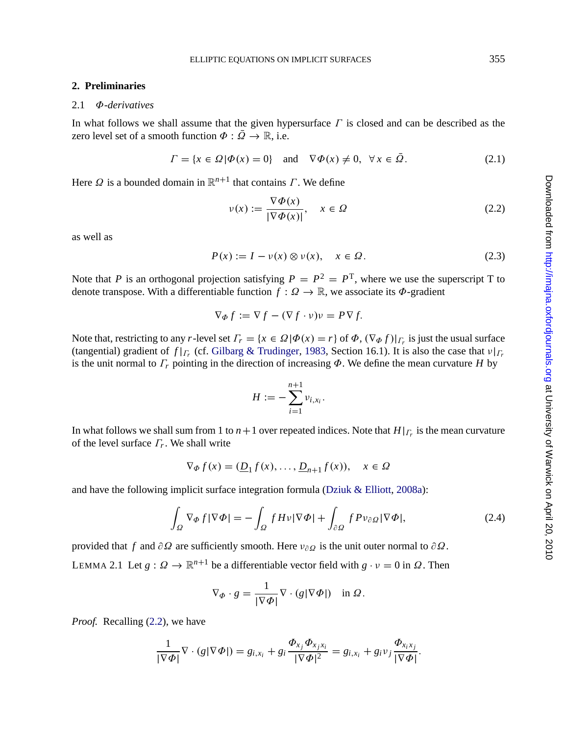## <span id="page-4-0"></span>**2. Preliminaries**

#### 2.1 Φ*-derivatives*

In what follows we shall assume that the given hypersurface  $\Gamma$  is closed and can be described as the zero level set of a smooth function  $\Phi : \overline{Q} \to \mathbb{R}$ , i.e.

$$
\Gamma = \{x \in \Omega | \Phi(x) = 0\} \quad \text{and} \quad \nabla \Phi(x) \neq 0, \ \forall x \in \Omega. \tag{2.1}
$$

Here  $\Omega$  is a bounded domain in  $\mathbb{R}^{n+1}$  that contains  $\Gamma$ . We define

$$
\nu(x) := \frac{\nabla \Phi(x)}{|\nabla \Phi(x)|}, \quad x \in \Omega \tag{2.2}
$$

as well as

$$
P(x) := I - \nu(x) \otimes \nu(x), \quad x \in \Omega.
$$
 (2.3)

Note that *P* is an orthogonal projection satisfying  $P = P^2 = P^T$ , where we use the superscript T to denote transpose. With a differentiable function  $f: \Omega \to \mathbb{R}$ , we associate its  $\Phi$ -gradient

$$
\nabla_{\Phi} f := \nabla f - (\nabla f \cdot v)v = P \nabla f.
$$

Note that, restricting to any *r*-level set  $\Gamma_r = \{x \in \Omega | \Phi(x) = r\}$  of  $\Phi$ ,  $(\nabla_{\Phi} f)|_{\Gamma_r}$  is just the usual surface (tangential) gradient of  $f|_{\Gamma_r}$  (cf. [Gilbarg & Trudinger,](#page-24-0) [1983](#page-24-0), Section 16.1). It is also the case that  $v|_{\Gamma_r}$ is the unit normal to  $\Gamma_r$  pointing in the direction of increasing  $\Phi$ . We define the mean curvature *H* by

$$
H := -\sum_{i=1}^{n+1} v_{i,x_i}.
$$

In what follows we shall sum from 1 to *n*+1 over repeated indices. Note that *H*|Γ*<sup>r</sup>* is the mean curvature of the level surface Γ*r*. We shall write

$$
\nabla_{\Phi} f(x) = (\underline{D}_1 f(x), \dots, \underline{D}_{n+1} f(x)), \quad x \in \Omega
$$

and have the following implicit surface integration formula [\(Dziuk & Elliott](#page-24-0), [2008a](#page-24-0)):

$$
\int_{\Omega} \nabla_{\varPhi} f |\nabla \varPhi| = -\int_{\Omega} f H \nu |\nabla \varPhi| + \int_{\partial \Omega} f P \nu_{\partial \Omega} |\nabla \varPhi|, \tag{2.4}
$$

provided that *f* and  $\partial \Omega$  are sufficiently smooth. Here  $v_{\partial \Omega}$  is the unit outer normal to  $\partial \Omega$ .

LEMMA 2.1 Let  $g: \Omega \to \mathbb{R}^{n+1}$  be a differentiable vector field with  $g \cdot v = 0$  in  $\Omega$ . Then

$$
\nabla_{\boldsymbol{\Phi}} \cdot g = \frac{1}{|\nabla \boldsymbol{\Phi}|} \nabla \cdot (g|\nabla \boldsymbol{\Phi}|) \quad \text{in } \Omega.
$$

*Proof.* Recalling (2.2), we have

$$
\frac{1}{|\nabla \Phi|} \nabla \cdot (g|\nabla \Phi|) = g_{i,x_i} + g_i \frac{\Phi_{x_j} \Phi_{x_j x_i}}{|\nabla \Phi|^2} = g_{i,x_i} + g_i \nu_j \frac{\Phi_{x_i x_j}}{|\nabla \Phi|}.
$$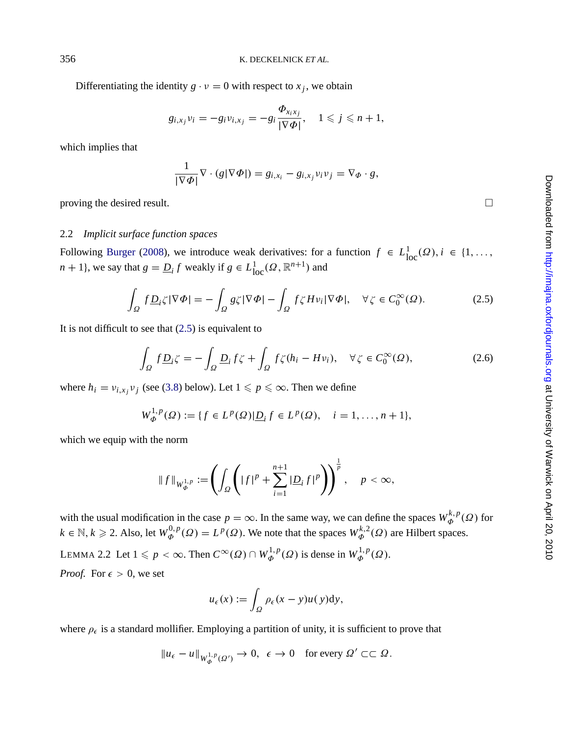Differentiating the identity  $g \cdot v = 0$  with respect to  $x_i$ , we obtain

$$
g_{i,x_j}v_i=-g_iv_{i,x_j}=-g_i\frac{\Phi_{x_ix_j}}{|\nabla\Phi|}, \quad 1\leqslant j\leqslant n+1,
$$

which implies that

$$
\frac{1}{|\nabla \Phi|} \nabla \cdot (g|\nabla \Phi|) = g_{i,x_i} - g_{i,x_j} \nu_i \nu_j = \nabla_{\Phi} \cdot g,
$$

proving the desired result.  $\Box$ 

# 2.2 *Implicit surface function spaces*

Following [Burger](#page-24-0) [\(2008](#page-24-0)), we introduce weak derivatives: for a function  $f \in L^1_{loc}(\Omega)$ ,  $i \in \{1, ...,$ *n* + 1}, we say that  $g = \underline{D}_i f$  weakly if  $g \in L^1_{loc}(\Omega, \mathbb{R}^{n+1})$  and

$$
\int_{\Omega} f \underline{D}_{i} \zeta |\nabla \Phi| = -\int_{\Omega} g \zeta |\nabla \Phi| - \int_{\Omega} f \zeta H \nu_{i} |\nabla \Phi|, \quad \forall \zeta \in C_{0}^{\infty}(\Omega). \tag{2.5}
$$

It is not difficult to see that  $(2.5)$  is equivalent to

$$
\int_{\Omega} f \underline{D}_i \zeta = -\int_{\Omega} \underline{D}_i f \zeta + \int_{\Omega} f \zeta (h_i - H \nu_i), \quad \forall \zeta \in C_0^{\infty}(\Omega),
$$
\n(2.6)

where  $h_i = v_{i,x_i}v_j$  (see [\(3.8](#page-9-0)) below). Let  $1 \leq p \leq \infty$ . Then we define

$$
W_{\Phi}^{1,p}(\Omega) := \{ f \in L^p(\Omega) | \underline{D}_i f \in L^p(\Omega), \quad i = 1, ..., n+1 \},\
$$

which we equip with the norm

$$
\|f\|_{W^{1,p}_{\Phi}} := \left(\int_{\Omega} \left(|f|^p + \sum_{i=1}^{n+1} |\underline{D}_i f|^p\right)\right)^{\frac{1}{p}}, \quad p < \infty,
$$

with the usual modification in the case  $p = \infty$ . In the same way, we can define the spaces  $W_{\Phi}^{k,p}(Q)$  for  $k \in \mathbb{N}, k \ge 2$ . Also, let  $W_{\Phi}^{0,p}(\Omega) = L^p(\Omega)$ . We note that the spaces  $W_{\Phi}^{k,2}(\Omega)$  are Hilbert spaces.

LEMMA 2.2 Let  $1 \leq p < \infty$ . Then  $C^{\infty}(\Omega) \cap W_{\Phi}^{1,p}(\Omega)$  is dense in  $W_{\Phi}^{1,p}(\Omega)$ .

*Proof.* For  $\epsilon > 0$ , we set

$$
u_{\epsilon}(x) := \int_{\Omega} \rho_{\epsilon}(x - y)u(y)dy,
$$

where  $\rho_{\epsilon}$  is a standard mollifier. Employing a partition of unity, it is sufficient to prove that

$$
||u_{\epsilon}-u||_{W^{1,p}_{\Phi}(\Omega')} \to 0, \ \epsilon \to 0 \quad \text{for every } \Omega' \subset\subset \Omega.
$$

<span id="page-5-0"></span>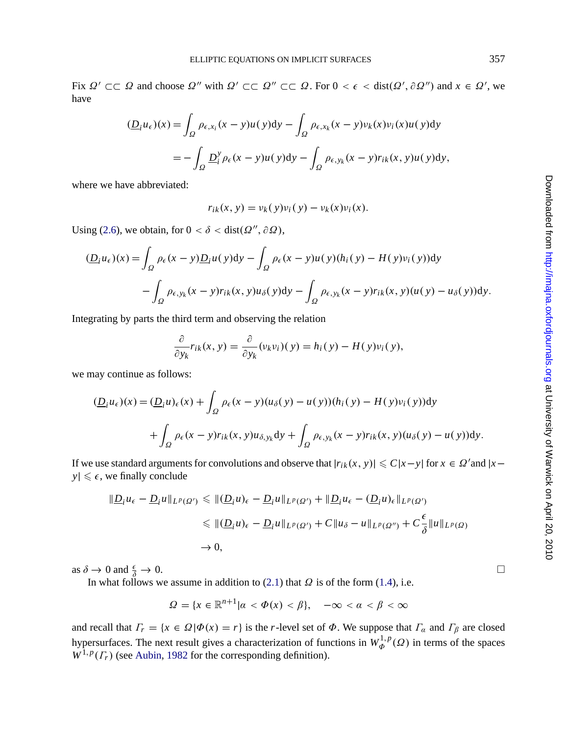<span id="page-6-0"></span>Fix  $\Omega' \subset\subset \Omega$  and choose  $\Omega''$  with  $\Omega' \subset\subset \Omega'' \subset\subset \Omega$ . For  $0 < \epsilon < \text{dist}(\Omega', \partial \Omega'')$  and  $x \in \Omega'$ , we have

$$
(\underline{D}_i u_\epsilon)(x) = \int_{\Omega} \rho_{\epsilon, x_i}(x - y)u(y)dy - \int_{\Omega} \rho_{\epsilon, x_k}(x - y)v_k(x)v_i(x)u(y)dy
$$
  
= 
$$
- \int_{\Omega} \underline{D}_i^y \rho_\epsilon(x - y)u(y)dy - \int_{\Omega} \rho_{\epsilon, y_k}(x - y)r_{ik}(x, y)u(y)dy,
$$

where we have abbreviated:

$$
r_{ik}(x, y) = v_k(y)v_i(y) - v_k(x)v_i(x).
$$

Using ([2.6](#page-5-0)), we obtain, for  $0 < \delta < \text{dist}(\Omega'', \partial \Omega)$ ,

$$
(\underline{D}_i u_\epsilon)(x) = \int_{\Omega} \rho_\epsilon(x - y) \underline{D}_i u(y) dy - \int_{\Omega} \rho_\epsilon(x - y) u(y) (h_i(y) - H(y) v_i(y)) dy
$$

$$
- \int_{\Omega} \rho_{\epsilon, y_k}(x - y) r_{ik}(x, y) u_\delta(y) dy - \int_{\Omega} \rho_{\epsilon, y_k}(x - y) r_{ik}(x, y) (u(y) - u_\delta(y)) dy.
$$

Integrating by parts the third term and observing the relation

$$
\frac{\partial}{\partial y_k} r_{ik}(x, y) = \frac{\partial}{\partial y_k} (\nu_k \nu_i)(y) = h_i(y) - H(y) \nu_i(y),
$$

we may continue as follows:

$$
\begin{aligned} \n(\underline{D}_i u_\epsilon)(x) &= (\underline{D}_i u)_\epsilon(x) + \int_{\Omega} \rho_\epsilon(x - y)(u_\delta(y) - u(y))(h_i(y) - H(y)v_i(y))\mathrm{d}y \\ \n&\quad + \int_{\Omega} \rho_\epsilon(x - y)r_{ik}(x, y)u_{\delta, y_k}\mathrm{d}y + \int_{\Omega} \rho_{\epsilon, y_k}(x - y)r_{ik}(x, y)(u_\delta(y) - u(y))\mathrm{d}y. \n\end{aligned}
$$

If we use standard arguments for convolutions and observe that  $|r_{ik}(x, y)| \leq C|x-y|$  for  $x \in \Omega'$  and  $|x-y|$  $y \leq \epsilon$ , we finally conclude

$$
\|D_i u_{\epsilon} - D_i u\|_{L^p(\Omega')} \le \| (D_i u)_{\epsilon} - D_i u\|_{L^p(\Omega')} + \|D_i u_{\epsilon} - (D_i u)_{\epsilon}\|_{L^p(\Omega')}
$$
  

$$
\le \| (D_i u)_{\epsilon} - D_i u\|_{L^p(\Omega')} + C \| u_{\delta} - u\|_{L^p(\Omega')} + C \frac{\epsilon}{\delta} \|u\|_{L^p(\Omega)}
$$
  

$$
\to 0,
$$

as  $\delta \to 0$  and  $\frac{\epsilon}{\delta} \to 0$ .

 $\frac{\epsilon}{\delta} \to 0.$ In what follows we assume in addition to  $(2.1)$  $(2.1)$  $(2.1)$  that  $\Omega$  is of the form  $(1.4)$  $(1.4)$  $(1.4)$ , i.e.

$$
\Omega = \{x \in \mathbb{R}^{n+1} | a < \Phi(x) < \beta\}, \quad -\infty < a < \beta < \infty
$$

and recall that  $\Gamma_r = \{x \in \Omega | \Phi(x) = r\}$  is the *r*-level set of  $\Phi$ . We suppose that  $\Gamma_\alpha$  and  $\Gamma_\beta$  are closed hypersurfaces. The next result gives a characterization of functions in  $W_{\Phi}^{1,p}(\Omega)$  in terms of the spaces  $W^{1,p}(T_r)$  (see [Aubin](#page-24-0), [1982](#page-24-0) for the corresponding definition).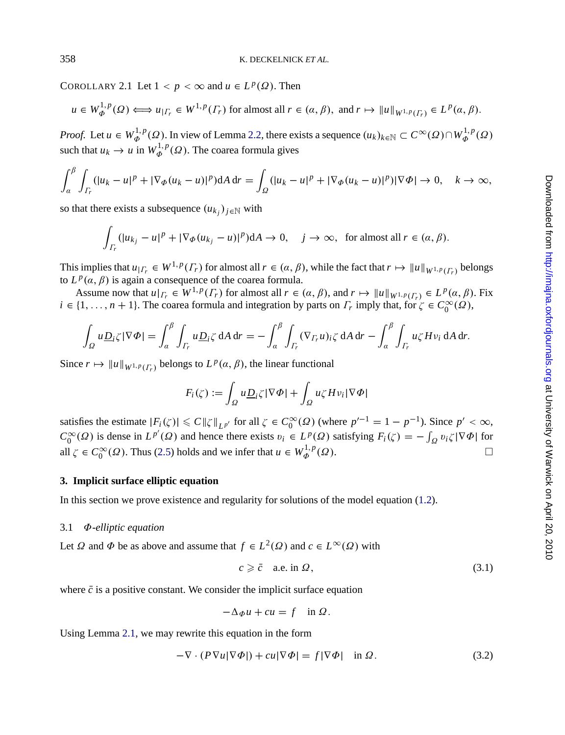<span id="page-7-0"></span>COROLLARY 2.1 Let  $1 < p < \infty$  and  $u \in L^p(\Omega)$ . Then

$$
u \in W^{1,p}_{\Phi}(\Omega) \Longleftrightarrow u_{|I_r} \in W^{1,p}(I_r)
$$
 for almost all  $r \in (\alpha, \beta)$ , and  $r \mapsto \|u\|_{W^{1,p}(I_r)} \in L^p(\alpha, \beta)$ .

*Proof.* Let  $u \in W^{1,p}_{\Phi}(\Omega)$ . In view of Lemma [2.2,](#page-5-0) there exists a sequence  $(u_k)_{k \in \mathbb{N}} \subset C^{\infty}(\Omega) \cap W^{1,p}_{\Phi}(\Omega)$ such that  $u_k \to u$  in  $W_{\Phi}^{1,p}(\Omega)$ . The coarea formula gives

$$
\int_{\alpha}^{\beta} \int_{\Gamma_r} (|u_k - u|^p + |\nabla_{\Phi}(u_k - u)|^p) dA dr = \int_{\Omega} (|u_k - u|^p + |\nabla_{\Phi}(u_k - u)|^p) |\nabla \Phi| \to 0, \quad k \to \infty,
$$

so that there exists a subsequence  $(u_{k_i})_{i \in \mathbb{N}}$  with

$$
\int_{\Gamma_r} (|u_{k_j}-u|^p + |\nabla_{\Phi}(u_{k_j}-u)|^p) dA \to 0, \quad j \to \infty, \text{ for almost all } r \in (\alpha, \beta).
$$

This implies that  $u_{|T_r} \in W^{1,p}(T_r)$  for almost all  $r \in (\alpha, \beta)$ , while the fact that  $r \mapsto ||u||_{W^{1,p}(T_r)}$  belongs to  $L^p(\alpha, \beta)$  is again a consequence of the coarea formula.

Assume now that  $u|_{\Gamma_r} \in W^{1,p}(\Gamma_r)$  for almost all  $r \in (\alpha, \beta)$ , and  $r \mapsto ||u||_{W^{1,p}(\Gamma_r)} \in L^p(\alpha, \beta)$ . Fix  $i \in \{1, ..., n+1\}$ . The coarea formula and integration by parts on  $\Gamma_r$  imply that, for  $\zeta \in C_0^{\infty}(\Omega)$ ,

$$
\int_{\Omega} u \underline{D}_i \zeta |\nabla \Phi| = \int_{\alpha}^{\beta} \int_{\Gamma_r} u \underline{D}_i \zeta \, dA \, dr = - \int_{\alpha}^{\beta} \int_{\Gamma_r} (\nabla_{\Gamma_r} u)_i \zeta \, dA \, dr - \int_{\alpha}^{\beta} \int_{\Gamma_r} u \zeta H \nu_i \, dA \, dr.
$$

Since  $r \mapsto ||u||_{W^{1,p}(\Gamma_r)}$  belongs to  $L^p(\alpha, \beta)$ , the linear functional

$$
F_i(\zeta) := \int_{\Omega} u \underline{D}_i \zeta |\nabla \Phi| + \int_{\Omega} u \zeta H \nu_i |\nabla \Phi|
$$

satisfies the estimate  $|F_i(\zeta)| \leq C \|\zeta\|_{L^{p'}}$  for all  $\zeta \in C_0^{\infty}(\Omega)$  (where  $p'^{-1} = 1 - p^{-1}$ ). Since  $p' < \infty$ ,  $C_0^{\infty}(\Omega)$  is dense in  $L^{p'}(\Omega)$  and hence there exists  $v_i \in L^p(\Omega)$  satisfying  $F_i(\zeta) = -\int_{\Omega} v_i \zeta |\nabla \Phi|$  for all  $\zeta \in C_0^{\infty}(\Omega)$ . Thus ([2.5](#page-5-0)) holds and we infer that  $u \in W_{\Phi}^{1,p}(\Omega)$ .

# **3. Implicit surface elliptic equation**

In this section we prove existence and regularity for solutions of the model equation [\(1.2\)](#page-1-0).

# 3.1 Φ*-elliptic equation*

Let  $\Omega$  and  $\Phi$  be as above and assume that  $f \in L^2(\Omega)$  and  $c \in L^{\infty}(\Omega)$  with

$$
c \geqslant \bar{c} \quad \text{a.e. in } \Omega,\tag{3.1}
$$

where  $\bar{c}$  is a positive constant. We consider the implicit surface equation

$$
-\Delta_{\Phi}u + cu = f \quad \text{in } \Omega.
$$

Using Lemma [2.1](#page-4-0), we may rewrite this equation in the form

$$
-\nabla \cdot (P\nabla u|\nabla \Phi|) + cu|\nabla \Phi| = f|\nabla \Phi| \quad \text{in } \Omega. \tag{3.2}
$$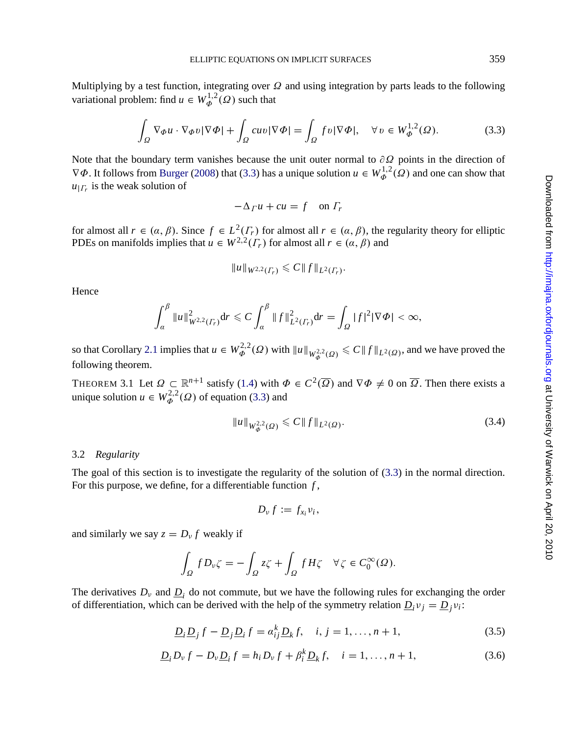<span id="page-8-0"></span>Multiplying by a test function, integrating over  $\Omega$  and using integration by parts leads to the following variational problem: find  $u \in W^{1,2}_{\phi}(\Omega)$  such that

$$
\int_{\Omega} \nabla_{\Phi} u \cdot \nabla_{\Phi} v |\nabla \Phi| + \int_{\Omega} cuv |\nabla \Phi| = \int_{\Omega} fv |\nabla \Phi|, \quad \forall v \in W^{1,2}_{\Phi}(\Omega). \tag{3.3}
$$

Note that the boundary term vanishes because the unit outer normal to  $\partial \Omega$  points in the direction of  $\nabla \Phi$ . It follows from [Burger](#page-24-0) [\(2008](#page-24-0)) that (3.3) has a unique solution  $u \in W^{1,2}_{\Phi}(\Omega)$  and one can show that  $u_{\vert\varGamma_r}$  is the weak solution of

$$
-\Delta_{\Gamma} u + cu = f \quad \text{on } \Gamma_r
$$

for almost all  $r \in (\alpha, \beta)$ . Since  $f \in L^2(\Gamma_r)$  for almost all  $r \in (\alpha, \beta)$ , the regularity theory for elliptic PDEs on manifolds implies that  $u \in W^{2,2}(\Gamma_r)$  for almost all  $r \in (\alpha, \beta)$  and

$$
||u||_{W^{2,2}(\Gamma_r)} \leq C||f||_{L^2(\Gamma_r)}.
$$

Hence

$$
\int_a^\beta \|u\|_{W^{2,2}(I_r)}^2 dr \leq C \int_a^\beta \|f\|_{L^2(I_r)}^2 dr = \int_{\Omega} |f|^2 |\nabla \Phi| < \infty,
$$

so that Corollary [2.1](#page-6-0) implies that  $u \in W^{2,2}_{\Phi}(\Omega)$  with  $||u||_{W^{2,2}_{\Phi}(\Omega)} \leq C ||f||_{L^2(\Omega)}$ , and we have proved the following theorem.

THEOREM 3.1 Let  $\Omega \subset \mathbb{R}^{n+1}$  satisfy [\(1.4\)](#page-2-0) with  $\Phi \in C^2(\overline{\Omega})$  and  $\nabla \Phi \neq 0$  on  $\overline{\Omega}$ . Then there exists a unique solution  $u \in W^{2,2}_{\phi}(\Omega)$  of equation (3.3) and

$$
\|u\|_{W^{2,2}_{\phi}(\Omega)} \leqslant C \|f\|_{L^2(\Omega)}.
$$
\n(3.4)

## 3.2 *Regularity*

The goal of this section is to investigate the regularity of the solution of (3.3) in the normal direction. For this purpose, we define, for a differentiable function *f* ,

$$
D_{\nu}f:=f_{x_i}\nu_i,
$$

and similarly we say  $z = D_v f$  weakly if

$$
\int_{\Omega} f D_{\nu} \zeta = -\int_{\Omega} z \zeta + \int_{\Omega} f H \zeta \quad \forall \zeta \in C_0^{\infty}(\Omega).
$$

The derivatives  $D_v$  and  $\underline{D}_i$  do not commute, but we have the following rules for exchanging the order of differentiation, which can be derived with the help of the symmetry relation  $\underline{D}_i v_j = \underline{D}_j v_i$ :

$$
\underline{D}_i \underline{D}_j f - \underline{D}_j \underline{D}_i f = a_{ij}^k \underline{D}_k f, \quad i, j = 1, \dots, n+1,
$$
\n(3.5)

$$
\underline{D}_i D_v f - D_v \underline{D}_i f = h_i D_v f + \beta_i^k \underline{D}_k f, \quad i = 1, \dots, n+1,
$$
\n(3.6)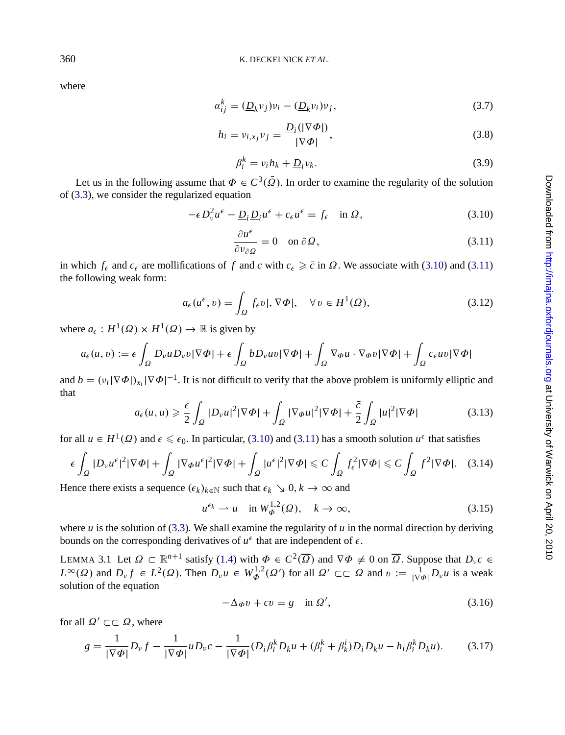where

$$
\alpha_{ij}^k = (\underline{D}_k v_j) v_i - (\underline{D}_k v_i) v_j,\tag{3.7}
$$

$$
h_i = \nu_{i,x_j} \nu_j = \frac{D_i(|\nabla \Phi|)}{|\nabla \Phi|},\tag{3.8}
$$

$$
\beta_i^k = v_i h_k + \underline{D}_i v_k. \tag{3.9}
$$

Let us in the following assume that  $\Phi \in C^3(\overline{Q})$ . In order to examine the regularity of the solution of ([3.3](#page-8-0)), we consider the regularized equation

$$
-\epsilon D_v^2 u^{\epsilon} - \underline{D}_i \underline{D}_i u^{\epsilon} + c_{\epsilon} u^{\epsilon} = f_{\epsilon} \quad \text{in } \Omega, \tag{3.10}
$$

$$
\frac{\partial u^{\epsilon}}{\partial v_{\partial \Omega}} = 0 \quad \text{on } \partial \Omega, \tag{3.11}
$$

in which  $f_{\epsilon}$  and  $c_{\epsilon}$  are mollifications of f and c with  $c_{\epsilon} \geq \bar{c}$  in  $\Omega$ . We associate with (3.10) and (3.11) the following weak form:

$$
a_{\epsilon}(u^{\epsilon}, v) = \int_{\Omega} f_{\epsilon}v, |\nabla \Phi|, \quad \forall v \in H^{1}(\Omega), \tag{3.12}
$$

where  $a_{\epsilon}: H^{1}(\Omega) \times H^{1}(\Omega) \rightarrow \mathbb{R}$  is given by

$$
a_{\epsilon}(u,v) := \epsilon \int_{\Omega} D_{\nu}u D_{\nu}v |\nabla \Phi| + \epsilon \int_{\Omega} b D_{\nu}uv |\nabla \Phi| + \int_{\Omega} \nabla_{\Phi}u \cdot \nabla_{\Phi}v |\nabla \Phi| + \int_{\Omega} c_{\epsilon}uv |\nabla \Phi|
$$

and  $b = (v_i | \nabla \Phi)_{x_i} | \nabla \Phi|^{-1}$ . It is not difficult to verify that the above problem is uniformly elliptic and that

$$
a_{\epsilon}(u, u) \geqslant \frac{\epsilon}{2} \int_{\Omega} |D_{\nu}u|^{2} |\nabla \Phi| + \int_{\Omega} |\nabla \Phi u|^{2} |\nabla \Phi| + \frac{\bar{c}}{2} \int_{\Omega} |u|^{2} |\nabla \Phi| \tag{3.13}
$$

for all  $u \in H^1(\Omega)$  and  $\epsilon \leq \epsilon_0$ . In particular, (3.10) and (3.11) has a smooth solution  $u^{\epsilon}$  that satisfies

$$
\epsilon \int_{\Omega} |D_{\nu}u^{\epsilon}|^{2} |\nabla \Phi| + \int_{\Omega} |\nabla_{\Phi}u^{\epsilon}|^{2} |\nabla \Phi| + \int_{\Omega} |u^{\epsilon}|^{2} |\nabla \Phi| \leq C \int_{\Omega} f_{\epsilon}^{2} |\nabla \Phi| \leq C \int_{\Omega} f^{2} |\nabla \Phi|. \quad (3.14)
$$

Hence there exists a sequence  $(\epsilon_k)_{k \in \mathbb{N}}$  such that  $\epsilon_k \searrow 0, k \to \infty$  and

$$
u^{\epsilon_k} \rightharpoonup u \quad \text{in } W^{1,2}_{\phi}(\Omega), \quad k \to \infty,
$$
\n
$$
(3.15)
$$

where  $u$  is the solution of [\(3.3\)](#page-8-0). We shall examine the regularity of  $u$  in the normal direction by deriving bounds on the corresponding derivatives of  $u^{\epsilon}$  that are independent of  $\epsilon$ .

LEMMA 3.1 Let  $\Omega \subset \mathbb{R}^{n+1}$  satisfy ([1.4](#page-2-0)) with  $\Phi \in C^2(\overline{\Omega})$  and  $\nabla \Phi \neq 0$  on  $\overline{\Omega}$ . Suppose that  $D_\nu c \in$  $L^{\infty}(\Omega)$  and  $D_{\nu} f \in L^{2}(\Omega)$ . Then  $D_{\nu} u \in W_{\Phi}^{1,2}(\Omega')$  for all  $\Omega' \subset\subset \Omega$  and  $v := \frac{1}{|\nabla \Phi|} D_{\nu} u$  is a weak solution of the equation

$$
-\Delta_{\Phi}v + cv = g \quad \text{in } \Omega',\tag{3.16}
$$

for all  $\Omega' \subset \subset \Omega$ , where

$$
g = \frac{1}{|\nabla \Phi|} D_{\nu} f - \frac{1}{|\nabla \Phi|} u D_{\nu} c - \frac{1}{|\nabla \Phi|} (\underline{D}_i \beta_i^k \underline{D}_k u + (\beta_i^k + \beta_k^i) \underline{D}_i \underline{D}_k u - h_i \beta_i^k \underline{D}_k u). \tag{3.17}
$$

<span id="page-9-0"></span>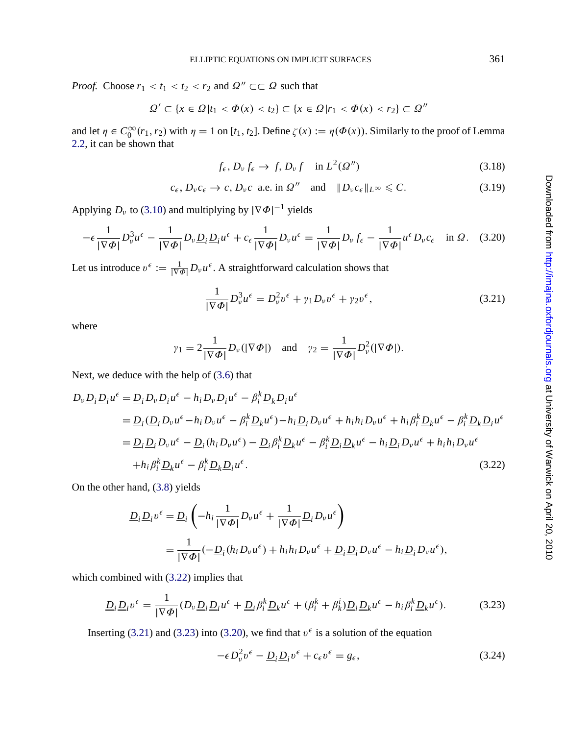<span id="page-10-0"></span>*Proof.* Choose  $r_1 < t_1 < t_2 < r_2$  and  $\Omega'' \subset \subset \Omega$  such that

$$
\Omega' \subset \{x \in \Omega | t_1 < \Phi(x) < t_2\} \subset \{x \in \Omega | r_1 < \Phi(x) < r_2\} \subset \Omega''
$$

and let  $\eta \in C_0^{\infty}(r_1, r_2)$  with  $\eta = 1$  on  $[t_1, t_2]$ . Define  $\zeta(x) := \eta(\Phi(x))$ . Similarly to the proof of Lemma [2.2,](#page-5-0) it can be shown that

$$
f_{\epsilon}, D_{\nu} f_{\epsilon} \to f, D_{\nu} f \quad \text{in } L^2(\Omega'')
$$
 (3.18)

$$
c_{\epsilon}, D_{\nu}c_{\epsilon} \to c, D_{\nu}c \text{ a.e. in } \Omega'' \text{ and } ||D_{\nu}c_{\epsilon}||_{L^{\infty}} \leq C.
$$
 (3.19)

Applying  $D_\nu$  to ([3.10](#page-9-0)) and multiplying by  $|\nabla \Phi|^{-1}$  yields

$$
-\epsilon \frac{1}{|\nabla \Phi|} D_{\nu}^3 u^{\epsilon} - \frac{1}{|\nabla \Phi|} D_{\nu} \underline{D}_i \underline{D}_i u^{\epsilon} + c_{\epsilon} \frac{1}{|\nabla \Phi|} D_{\nu} u^{\epsilon} = \frac{1}{|\nabla \Phi|} D_{\nu} f_{\epsilon} - \frac{1}{|\nabla \Phi|} u^{\epsilon} D_{\nu} c_{\epsilon} \quad \text{in } \Omega. \tag{3.20}
$$

Let us introduce  $v^{\epsilon} := \frac{1}{|\nabla \phi|} D_{\nu} u^{\epsilon}$ . A straightforward calculation shows that

$$
\frac{1}{|\nabla \Phi|} D_{\nu}^3 u^{\epsilon} = D_{\nu}^2 v^{\epsilon} + \gamma_1 D_{\nu} v^{\epsilon} + \gamma_2 v^{\epsilon}, \qquad (3.21)
$$

where

$$
\gamma_1 = 2 \frac{1}{|\nabla \Phi|} D_\nu(|\nabla \Phi|)
$$
 and  $\gamma_2 = \frac{1}{|\nabla \Phi|} D_\nu^2(|\nabla \Phi|).$ 

Next, we deduce with the help of ([3.6](#page-8-0)) that

$$
D_{\nu} \underline{D}_{i} \underline{D}_{i} u^{\epsilon} = \underline{D}_{i} D_{\nu} \underline{D}_{i} u^{\epsilon} - h_{i} D_{\nu} \underline{D}_{i} u^{\epsilon} - \beta_{i}^{k} \underline{D}_{k} \underline{D}_{i} u^{\epsilon}
$$
  
\n
$$
= \underline{D}_{i} (\underline{D}_{i} D_{\nu} u^{\epsilon} - h_{i} D_{\nu} u^{\epsilon} - \beta_{i}^{k} \underline{D}_{k} u^{\epsilon}) - h_{i} \underline{D}_{i} D_{\nu} u^{\epsilon} + h_{i} h_{i} D_{\nu} u^{\epsilon} + h_{i} \beta_{i}^{k} \underline{D}_{k} u^{\epsilon} - \beta_{i}^{k} \underline{D}_{k} \underline{D}_{i} u^{\epsilon}
$$
  
\n
$$
= \underline{D}_{i} \underline{D}_{i} D_{\nu} u^{\epsilon} - \underline{D}_{i} (h_{i} D_{\nu} u^{\epsilon}) - \underline{D}_{i} \beta_{i}^{k} \underline{D}_{k} u^{\epsilon} - \beta_{i}^{k} \underline{D}_{i} \underline{D}_{k} u^{\epsilon} - h_{i} \underline{D}_{i} D_{\nu} u^{\epsilon} + h_{i} h_{i} D_{\nu} u^{\epsilon}
$$
  
\n
$$
+ h_{i} \beta_{i}^{k} \underline{D}_{k} u^{\epsilon} - \beta_{i}^{k} \underline{D}_{k} \underline{D}_{i} u^{\epsilon}. \tag{3.22}
$$

On the other hand, [\(3.8\)](#page-9-0) yields

$$
\underline{D}_{i}\underline{D}_{i}v^{\epsilon} = \underline{D}_{i}\left(-h_{i}\frac{1}{|\nabla\Phi|}D_{\nu}u^{\epsilon} + \frac{1}{|\nabla\Phi|}\underline{D}_{i}D_{\nu}u^{\epsilon}\right)
$$
  
= 
$$
\frac{1}{|\nabla\Phi|}(-\underline{D}_{i}(h_{i}D_{\nu}u^{\epsilon}) + h_{i}h_{i}D_{\nu}u^{\epsilon} + \underline{D}_{i}\underline{D}_{i}D_{\nu}u^{\epsilon} - h_{i}\underline{D}_{i}D_{\nu}u^{\epsilon}),
$$

which combined with  $(3.22)$  implies that

$$
\underline{D}_i \underline{D}_i v^{\epsilon} = \frac{1}{|\nabla \Phi|} (D_\nu \underline{D}_i \underline{D}_i u^{\epsilon} + \underline{D}_i \beta_i^k \underline{D}_k u^{\epsilon} + (\beta_i^k + \beta_k^i) \underline{D}_i \underline{D}_k u^{\epsilon} - h_i \beta_i^k \underline{D}_k u^{\epsilon}). \tag{3.23}
$$

Inserting (3.21) and (3.23) into (3.20), we find that  $v^{\epsilon}$  is a solution of the equation

$$
-\epsilon D_v^2 v^{\epsilon} - \underline{D}_i \underline{D}_i v^{\epsilon} + c_{\epsilon} v^{\epsilon} = g_{\epsilon},\tag{3.24}
$$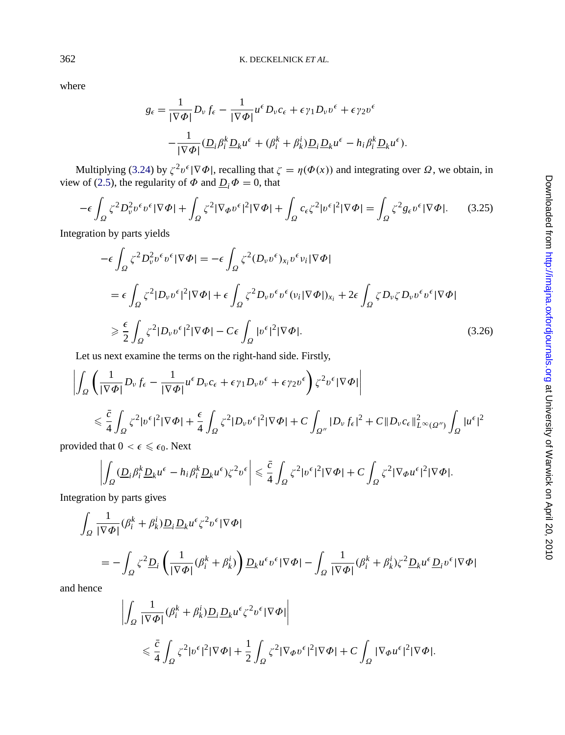where

$$
g_{\epsilon} = \frac{1}{|\nabla \Phi|} D_{\nu} f_{\epsilon} - \frac{1}{|\nabla \Phi|} u^{\epsilon} D_{\nu} c_{\epsilon} + \epsilon \gamma_1 D_{\nu} v^{\epsilon} + \epsilon \gamma_2 v^{\epsilon}
$$

$$
- \frac{1}{|\nabla \Phi|} (\underline{D}_i \beta_i^k \underline{D}_k u^{\epsilon} + (\beta_i^k + \beta_k^i) \underline{D}_i \underline{D}_k u^{\epsilon} - h_i \beta_i^k \underline{D}_k u^{\epsilon}).
$$

Multiplying [\(3.24\)](#page-10-0) by  $\zeta^2 v^{\epsilon} |\nabla \Phi|$ , recalling that  $\zeta = \eta(\Phi(x))$  and integrating over  $\Omega$ , we obtain, in view of ([2.5](#page-5-0)), the regularity of  $\Phi$  and  $\underline{D}_i\Phi = 0$ , that

$$
-\epsilon \int_{\Omega} \zeta^2 D_\nu^2 v^\epsilon v^\epsilon |\nabla \Phi| + \int_{\Omega} \zeta^2 |\nabla \phi v^\epsilon|^2 |\nabla \Phi| + \int_{\Omega} c_\epsilon \zeta^2 |v^\epsilon|^2 |\nabla \Phi| = \int_{\Omega} \zeta^2 g_\epsilon v^\epsilon |\nabla \Phi|. \tag{3.25}
$$

Integration by parts yields

$$
-\epsilon \int_{\Omega} \zeta^2 D_{\nu}^2 v^{\epsilon} v^{\epsilon} |\nabla \Phi| = -\epsilon \int_{\Omega} \zeta^2 (D_{\nu} v^{\epsilon})_{x_i} v^{\epsilon} v_i |\nabla \Phi|
$$
  
\n
$$
= \epsilon \int_{\Omega} \zeta^2 |D_{\nu} v^{\epsilon}|^2 |\nabla \Phi| + \epsilon \int_{\Omega} \zeta^2 D_{\nu} v^{\epsilon} v^{\epsilon} (v_i |\nabla \Phi|)_{x_i} + 2\epsilon \int_{\Omega} \zeta D_{\nu} \zeta D_{\nu} v^{\epsilon} v^{\epsilon} |\nabla \Phi|
$$
  
\n
$$
\geq \frac{\epsilon}{2} \int_{\Omega} \zeta^2 |D_{\nu} v^{\epsilon}|^2 |\nabla \Phi| - C\epsilon \int_{\Omega} |v^{\epsilon}|^2 |\nabla \Phi|.
$$
 (3.26)

Let us next examine the terms on the right-hand side. Firstly,

$$
\left| \int_{\Omega} \left( \frac{1}{|\nabla \Phi|} D_{\nu} f_{\epsilon} - \frac{1}{|\nabla \Phi|} u^{\epsilon} D_{\nu} c_{\epsilon} + \epsilon \gamma_{1} D_{\nu} v^{\epsilon} + \epsilon \gamma_{2} v^{\epsilon} \right) \zeta^{2} v^{\epsilon} |\nabla \Phi| \right|
$$
  

$$
\leq \frac{\bar{c}}{4} \int_{\Omega} \zeta^{2} |v^{\epsilon}|^{2} |\nabla \Phi| + \frac{\epsilon}{4} \int_{\Omega} \zeta^{2} |D_{\nu} v^{\epsilon}|^{2} |\nabla \Phi| + C \int_{\Omega''} |D_{\nu} f_{\epsilon}|^{2} + C \|D_{\nu} c_{\epsilon}\|_{L^{\infty}(\Omega'')}^{2} \int_{\Omega} |u^{\epsilon}|^{2}
$$

provided that  $0 < \epsilon \leq \epsilon_0$ . Next

$$
\left| \int_{\Omega} (\underline{D}_i \beta_i^k \underline{D}_k u^{\epsilon} - h_i \beta_i^k \underline{D}_k u^{\epsilon}) \zeta^2 v^{\epsilon} \right| \leq \frac{\bar{c}}{4} \int_{\Omega} \zeta^2 |v^{\epsilon}|^2 |\nabla \Phi| + C \int_{\Omega} \zeta^2 |\nabla \Phi u^{\epsilon}|^2 |\nabla \Phi|.
$$

Integration by parts gives

$$
\int_{\Omega} \frac{1}{|\nabla \Phi|} (\beta_i^k + \beta_k^i) \underline{D}_i \underline{D}_k u^{\epsilon} \zeta^{2} v^{\epsilon} |\nabla \Phi|
$$
\n
$$
= - \int_{\Omega} \zeta^{2} \underline{D}_i \left( \frac{1}{|\nabla \Phi|} (\beta_i^k + \beta_k^i) \right) \underline{D}_k u^{\epsilon} v^{\epsilon} |\nabla \Phi| - \int_{\Omega} \frac{1}{|\nabla \Phi|} (\beta_i^k + \beta_k^i) \zeta^{2} \underline{D}_k u^{\epsilon} \underline{D}_i v^{\epsilon} |\nabla \Phi|
$$

and hence

$$
\left| \int_{\Omega} \frac{1}{|\nabla \Phi|} (\beta_i^k + \beta_k^i) \underline{D}_i \underline{D}_k u^{\epsilon} \zeta^{2} v^{\epsilon} |\nabla \Phi| \right|
$$
  
\$\leqslant \frac{\bar{c}}{4} \int\_{\Omega} \zeta^{2} |v^{\epsilon}|^{2} |\nabla \Phi| + \frac{1}{2} \int\_{\Omega} \zeta^{2} |\nabla\_{\Phi} v^{\epsilon}|^{2} |\nabla \Phi| + C \int\_{\Omega} |\nabla\_{\Phi} u^{\epsilon}|^{2} |\nabla \Phi|.

<span id="page-11-0"></span>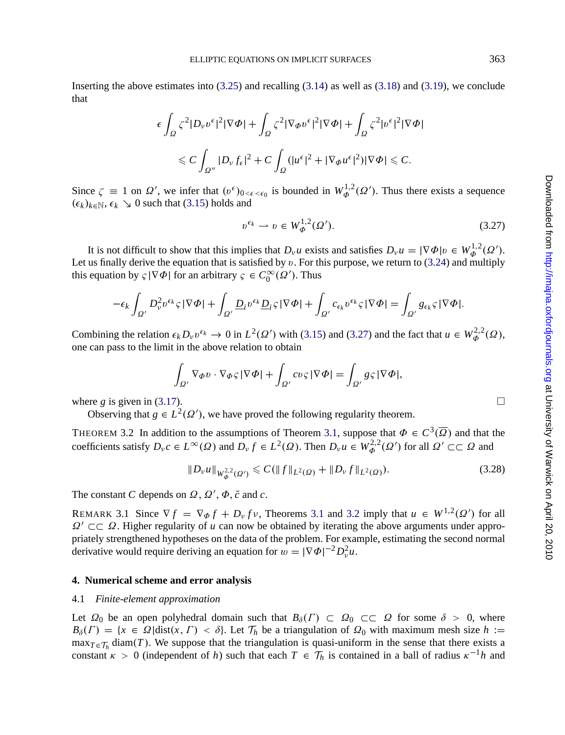<span id="page-12-0"></span>Inserting the above estimates into ([3.25](#page-11-0)) and recalling [\(3.14\)](#page-9-0) as well as [\(3.18](#page-10-0)) and ([3.19](#page-10-0)), we conclude that

$$
\epsilon \int_{\Omega} \zeta^2 |D_{\nu} v^{\epsilon}|^2 |\nabla \Phi| + \int_{\Omega} \zeta^2 |\nabla \Phi v^{\epsilon}|^2 |\nabla \Phi| + \int_{\Omega} \zeta^2 |v^{\epsilon}|^2 |\nabla \Phi|
$$
  

$$
\leq C \int_{\Omega''} |D_{\nu} f_{\epsilon}|^2 + C \int_{\Omega} (|u^{\epsilon}|^2 + |\nabla \Phi u^{\epsilon}|^2) |\nabla \Phi| \leq C.
$$

Since  $\zeta \equiv 1$  on  $\Omega'$ , we infer that  $(v^{\epsilon})_{0 \leq \epsilon \leq \epsilon_0}$  is bounded in  $W^{1,2}_{\phi}(\Omega')$ . Thus there exists a sequence  $(\epsilon_k)_{k \in \mathbb{N}}, \epsilon_k \searrow 0$  such that [\(3.15](#page-9-0)) holds and

$$
v^{\epsilon_k} \rightharpoonup v \in W^{1,2}_{\phi}(\Omega'). \tag{3.27}
$$

It is not difficult to show that this implies that  $D_\nu u$  exists and satisfies  $D_\nu u = |\nabla \Phi| v \in W^{1,2}_\Phi(\Omega').$ Let us finally derive the equation that is satisfied by  $v$ . For this purpose, we return to  $(3.24)$  $(3.24)$  $(3.24)$  and multiply this equation by  $\varsigma |\nabla \Phi|$  for an arbitrary  $\varsigma \in C_0^{\infty}(\Omega')$ . Thus

$$
-\epsilon_k \int_{\Omega'} D_\nu^2 v^{\epsilon_k} \varsigma |\nabla \Phi| + \int_{\Omega'} \underline{D}_i v^{\epsilon_k} \underline{D}_i \varsigma |\nabla \Phi| + \int_{\Omega'} c_{\epsilon_k} v^{\epsilon_k} \varsigma |\nabla \Phi| = \int_{\Omega'} g_{\epsilon_k} \varsigma |\nabla \Phi|.
$$

Combining the relation  $\epsilon_k D_\nu v^{\epsilon_k} \to 0$  in  $L^2(\Omega')$  with [\(3.15\)](#page-9-0) and (3.27) and the fact that  $u \in W^{2,2}(\Omega)$ , one can pass to the limit in the above relation to obtain

$$
\int_{\Omega'} \nabla_{\Phi} v \cdot \nabla_{\Phi} \varsigma |\nabla \Phi| + \int_{\Omega'} cv \varsigma |\nabla \Phi| = \int_{\Omega'} g \varsigma |\nabla \Phi|,
$$

where *g* is given in [\(3.17](#page-9-0)).

Observing that  $g \in L^2(\Omega')$ , we have proved the following regularity theorem.

THEOREM 3.2 In addition to the assumptions of Theorem [3.1](#page-8-0), suppose that  $\Phi \in C^3(\overline{\Omega})$  and that the coefficients satisfy  $D_\nu c \in L^\infty(\Omega)$  and  $D_\nu f \in L^2(\Omega)$ . Then  $D_\nu u \in W^{2,2}_{\Phi}(\Omega')$  for all  $\Omega' \subset\subset \Omega$  and

$$
||D_{\nu}u||_{W^{2,2}_{\Phi}(\Omega')} \leqslant C(||f||_{L^{2}(\Omega)} + ||D_{\nu}f||_{L^{2}(\Omega)}).
$$
\n(3.28)

The constant *C* depends on  $\Omega$ ,  $\Omega'$ ,  $\Phi$ ,  $\bar{c}$  and  $c$ .

REMARK [3.1](#page-8-0) Since  $\nabla f = \nabla_{\phi} f + D_{\nu} f \nu$ , Theorems 3.1 and 3.2 imply that  $u \in W^{1,2}(\Omega')$  for all  $Ω' ⊂ ⊂ Ω$ . Higher regularity of *u* can now be obtained by iterating the above arguments under appropriately strengthened hypotheses on the data of the problem. For example, estimating the second normal derivative would require deriving an equation for  $w = |\nabla \Phi|^{-2} D_v^2 u$ .

#### **4. Numerical scheme and error analysis**

#### 4.1 *Finite-element approximation*

Let  $\Omega_0$  be an open polyhedral domain such that  $B_\delta(\Gamma) \subset \Omega_0 \subset \subset \Omega$  for some  $\delta > 0$ , where  $B_\delta(\Gamma) = \{x \in \Omega | \text{dist}(x, \Gamma) < \delta\}$ . Let  $\mathcal{T}_h$  be a triangulation of  $\Omega_0$  with maximum mesh size  $h :=$ max $T ∈ T_h$  diam(*T*). We suppose that the triangulation is quasi-uniform in the sense that there exists a constant  $\kappa > 0$  (independent of *h*) such that each  $T \in \mathcal{T}_h$  is contained in a ball of radius  $\kappa^{-1}h$  and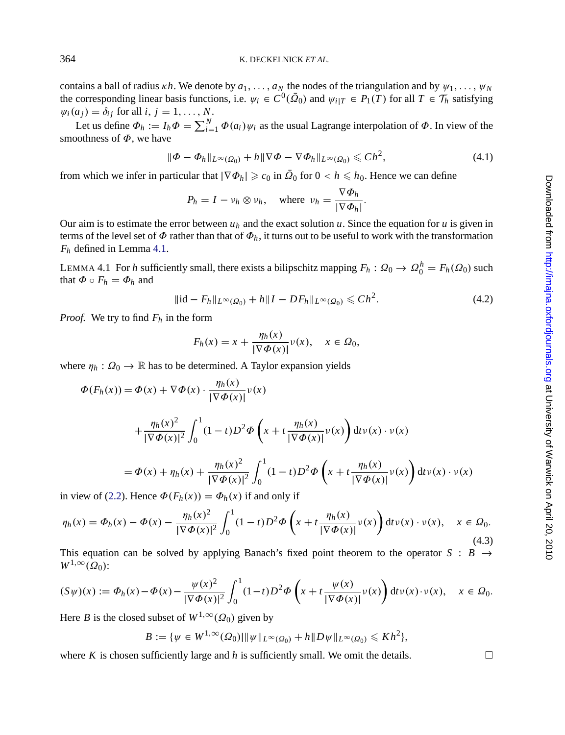contains a ball of radius  $\kappa h$ . We denote by  $a_1, \ldots, a_N$  the nodes of the triangulation and by  $\psi_1, \ldots, \psi_N$ the corresponding linear basis functions, i.e.  $\psi_i \in C^0(\overline{\Omega}_0)$  and  $\psi_{i|T} \in P_1(T)$  for all  $T \in \mathcal{T}_h$  satisfying  $\psi_i(a_j) = \delta_{ij}$  for all  $i, j = 1, \ldots, N$ .

Let us define  $\Phi_h := I_h \Phi = \sum_{i=1}^N \Phi(a_i) \psi_i$  as the usual Lagrange interpolation of  $\Phi$ . In view of the smoothness of  $\Phi$ , we have

$$
\|\Phi - \Phi_h\|_{L^{\infty}(\Omega_0)} + h \|\nabla \Phi - \nabla \Phi_h\|_{L^{\infty}(\Omega_0)} \leqslant Ch^2,
$$
\n(4.1)

from which we infer in particular that  $|\nabla \Phi_h| \ge c_0$  in  $\overline{Q}_0$  for  $0 < h \le h_0$ . Hence we can define

$$
P_h = I - \nu_h \otimes \nu_h, \quad \text{where } \nu_h = \frac{\nabla \Phi_h}{|\nabla \Phi_h|}.
$$

Our aim is to estimate the error between  $u_h$  and the exact solution  $u$ . Since the equation for  $u$  is given in terms of the level set of  $\Phi$  rather than that of  $\Phi_h$ , it turns out to be useful to work with the transformation *Fh* defined in Lemma 4.1.

LEMMA 4.1 For *h* sufficiently small, there exists a bilipschitz mapping  $F_h: \Omega_0 \to \Omega_0^h = F_h(\Omega_0)$  such that  $\Phi \circ F_h = \Phi_h$  and

$$
\|id - F_h\|_{L^{\infty}(\Omega_0)} + h\|I - DF_h\|_{L^{\infty}(\Omega_0)} \leq C h^2.
$$
 (4.2)

*Proof.* We try to find *Fh* in the form

$$
F_h(x) = x + \frac{\eta_h(x)}{|\nabla \Phi(x)|} \nu(x), \quad x \in \Omega_0,
$$

where  $\eta_h$ :  $\Omega_0 \to \mathbb{R}$  has to be determined. A Taylor expansion yields

$$
\Phi(F_h(x)) = \Phi(x) + \nabla \Phi(x) \cdot \frac{\eta_h(x)}{|\nabla \Phi(x)|} \nu(x)
$$
  
+ 
$$
\frac{\eta_h(x)^2}{|\nabla \Phi(x)|^2} \int_0^1 (1-t) D^2 \Phi\left(x + t \frac{\eta_h(x)}{|\nabla \Phi(x)|} \nu(x)\right) dt \nu(x) \cdot \nu(x)
$$
  
= 
$$
\Phi(x) + \eta_h(x) + \frac{\eta_h(x)^2}{|\nabla \Phi(x)|^2} \int_0^1 (1-t) D^2 \Phi\left(x + t \frac{\eta_h(x)}{|\nabla \Phi(x)|} \nu(x)\right) dt \nu(x) \cdot \nu(x)
$$

in view of ([2.2](#page-4-0)). Hence  $\Phi(F_h(x)) = \Phi_h(x)$  if and only if

$$
\eta_h(x) = \Phi_h(x) - \Phi(x) - \frac{\eta_h(x)^2}{|\nabla \Phi(x)|^2} \int_0^1 (1 - t) D^2 \Phi\left(x + t \frac{\eta_h(x)}{|\nabla \Phi(x)|} \nu(x)\right) dt \nu(x) \cdot \nu(x), \quad x \in \Omega_0.
$$
\n(4.3)

This equation can be solved by applying Banach's fixed point theorem to the operator  $S : B \rightarrow$  $W^{1,\infty}(\Omega_0)$ :

$$
(S\psi)(x) := \Phi_h(x) - \Phi(x) - \frac{\psi(x)^2}{|\nabla \Phi(x)|^2} \int_0^1 (1-t) D^2 \Phi\left(x + t \frac{\psi(x)}{|\nabla \Phi(x)|} \nu(x)\right) dt \nu(x) \cdot \nu(x), \quad x \in \Omega_0.
$$

Here *B* is the closed subset of  $W^{1,\infty}(\Omega_0)$  given by

$$
B := \{ \psi \in W^{1,\infty}(\Omega_0) | \|\psi\|_{L^{\infty}(\Omega_0)} + h \|D\psi\|_{L^{\infty}(\Omega_0)} \leq K h^2 \},\
$$

where *K* is chosen sufficiently large and *h* is sufficiently small. We omit the details.

<span id="page-13-0"></span>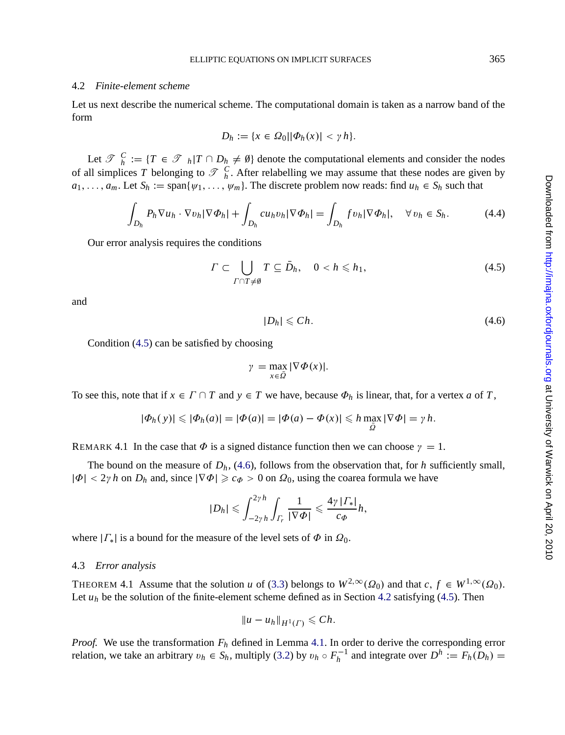#### <span id="page-14-0"></span>4.2 *Finite-element scheme*

Let us next describe the numerical scheme. The computational domain is taken as a narrow band of the form

$$
D_h := \{x \in \Omega_0 \, \vert \, \vert \Phi_h(x) \vert < \gamma \, h \}.
$$

Let  $\mathcal{T} \subseteq \mathcal{T} \in \mathcal{T} \setminus \mathcal{D}_h$   $\neq \emptyset$  denote the computational elements and consider the nodes of all simplices *T* belonging to  $\mathcal{T}$   $\frac{C}{h}$ . After relabelling we may assume that these nodes are given by  $a_1, \ldots, a_m$ . Let  $S_h := \text{span}\{\psi_1, \ldots, \psi_m\}$ . The discrete problem now reads: find  $u_h \in S_h$  such that

$$
\int_{D_h} P_h \nabla u_h \cdot \nabla v_h |\nabla \Phi_h| + \int_{D_h} c u_h v_h |\nabla \Phi_h| = \int_{D_h} f v_h |\nabla \Phi_h|, \quad \forall v_h \in S_h.
$$
\n(4.4)

Our error analysis requires the conditions

$$
\Gamma \subset \bigcup_{\Gamma \cap T \neq \emptyset} T \subseteq \bar{D}_h, \quad 0 < h \leq h_1,\tag{4.5}
$$

and

$$
|D_h| \leqslant Ch. \tag{4.6}
$$

Condition (4.5) can be satisfied by choosing

$$
\gamma = \max_{x \in \bar{\Omega}} |\nabla \Phi(x)|.
$$

To see this, note that if  $x \in \Gamma \cap T$  and  $y \in T$  we have, because  $\Phi_h$  is linear, that, for a vertex *a* of *T*,

$$
|\Phi_h(y)| \leq |\Phi_h(a)| = |\Phi(a)| = |\Phi(a) - \Phi(x)| \leq h \max_{\bar{\Omega}} |\nabla \Phi| = \gamma h.
$$

REMARK 4.1 In the case that  $\Phi$  is a signed distance function then we can choose  $\gamma = 1$ .

The bound on the measure of  $D_h$ , (4.6), follows from the observation that, for *h* sufficiently small,  $|\Phi| < 2\gamma h$  on  $D_h$  and, since  $|\nabla \Phi| \geq c_\Phi > 0$  on  $\Omega_0$ , using the coarea formula we have

$$
|D_h| \leqslant \int_{-2\gamma h}^{2\gamma h} \int_{\Gamma_r} \frac{1}{|\nabla \Phi|} \leqslant \frac{4\gamma \left| \Gamma_* \right|}{c_{\Phi}} h,
$$

where  $|\Gamma_*|$  is a bound for the measure of the level sets of  $\Phi$  in  $\Omega_0$ .

### 4.3 *Error analysis*

THEOREM 4.1 Assume that the solution *u* of [\(3.3\)](#page-8-0) belongs to  $W^{2,\infty}(\Omega_0)$  and that *c*,  $f \in W^{1,\infty}(\Omega_0)$ . Let  $u_h$  be the solution of the finite-element scheme defined as in Section 4.2 satisfying (4.5). Then

$$
||u-u_h||_{H^1(\Gamma)} \leqslant Ch.
$$

*Proof.* We use the transformation *Fh* defined in Lemma [4.1.](#page-13-0) In order to derive the corresponding error relation, we take an arbitrary  $v_h \in S_h$ , multiply ([3.2](#page-7-0)) by  $v_h \circ F_h^{-1}$  and integrate over  $D^h := F_h(D_h)$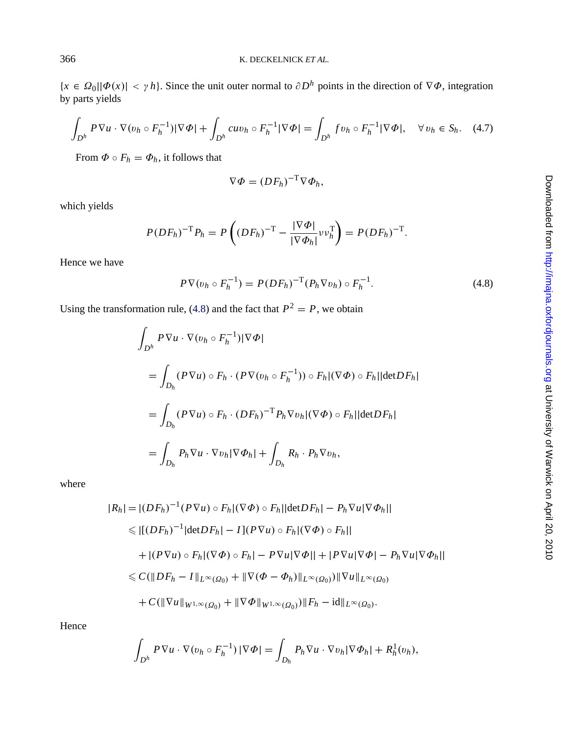${x \in \Omega_0 | \phi(x) | \lt y h}$ . Since the unit outer normal to  $\partial D^h$  points in the direction of  $\nabla \phi$ , integration by parts yields

$$
\int_{D^h} P \nabla u \cdot \nabla (v_h \circ F_h^{-1}) |\nabla \Phi| + \int_{D^h} cu v_h \circ F_h^{-1} |\nabla \Phi| = \int_{D^h} f v_h \circ F_h^{-1} |\nabla \Phi|, \quad \forall v_h \in S_h. \quad (4.7)
$$

From  $\Phi \circ F_h = \Phi_h$ , it follows that

$$
\nabla \Phi = (DF_h)^{-T} \nabla \Phi_h,
$$

which yields

$$
P(DF_h)^{-T}P_h = P\left((DF_h)^{-T} - \frac{|\nabla \Phi|}{|\nabla \Phi_h|} \nu \nu_h^{\mathrm{T}}\right) = P(DF_h)^{-T}.
$$

Hence we have

$$
P \nabla (v_h \circ F_h^{-1}) = P (D F_h)^{-1} (P_h \nabla v_h) \circ F_h^{-1}.
$$
 (4.8)

Using the transformation rule, (4.8) and the fact that  $P^2 = P$ , we obtain

$$
\int_{D^h} P \nabla u \cdot \nabla (v_h \circ F_h^{-1}) |\nabla \Phi|
$$
\n
$$
= \int_{D_h} (P \nabla u) \circ F_h \cdot (P \nabla (v_h \circ F_h^{-1})) \circ F_h | (\nabla \Phi) \circ F_h || \det D F_h |
$$
\n
$$
= \int_{D_h} (P \nabla u) \circ F_h \cdot (DF_h)^{-T} P_h \nabla v_h | (\nabla \Phi) \circ F_h || \det D F_h |
$$
\n
$$
= \int_{D_h} P_h \nabla u \cdot \nabla v_h |\nabla \Phi_h| + \int_{D_h} R_h \cdot P_h \nabla v_h,
$$

where

$$
|R_h| = |(DF_h)^{-1}(P\nabla u) \circ F_h|(\nabla \Phi) \circ F_h||\det DF_h| - P_h \nabla u|\nabla \Phi_h||
$$
  
\n
$$
\leq |[(DF_h)^{-1}|\det DF_h| - I](P \nabla u) \circ F_h|(\nabla \Phi) \circ F_h||
$$
  
\n
$$
+ |(P \nabla u) \circ F_h|(\nabla \Phi) \circ F_h| - P \nabla u|\nabla \Phi|| + |P \nabla u|\nabla \Phi| - P_h \nabla u|\nabla \Phi_h||
$$
  
\n
$$
\leq C(||DF_h - I||_{L^{\infty}(\Omega_0)} + ||\nabla (\Phi - \Phi_h)||_{L^{\infty}(\Omega_0)}) ||\nabla u||_{L^{\infty}(\Omega_0)}
$$
  
\n
$$
+ C(||\nabla u||_{W^{1,\infty}(\Omega_0)} + ||\nabla \Phi||_{W^{1,\infty}(\Omega_0)}) ||F_h - id||_{L^{\infty}(\Omega_0)}.
$$

Hence

$$
\int_{D^h} P \nabla u \cdot \nabla (v_h \circ F_h^{-1}) |\nabla \Phi| = \int_{D_h} P_h \nabla u \cdot \nabla v_h |\nabla \Phi_h| + R_h^1(v_h),
$$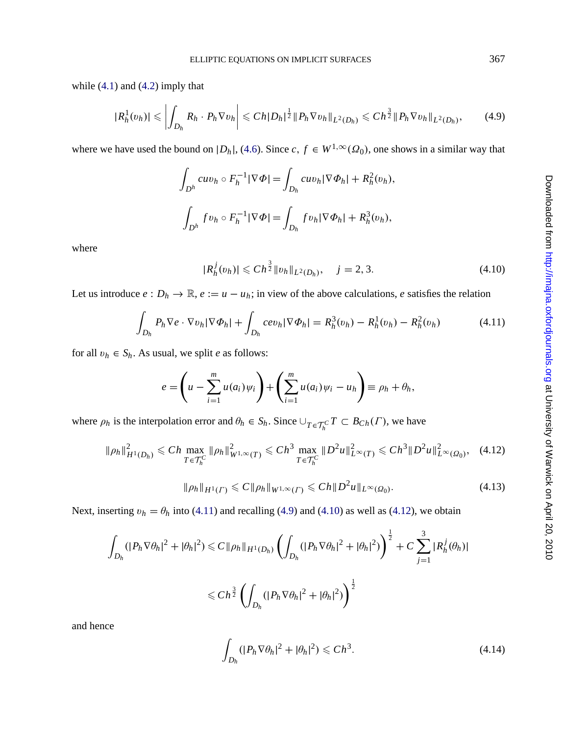at University of Warwick on April 20, 2010 <http://imajna.oxfordjournals.org> Downloaded from

<span id="page-16-0"></span>while  $(4.1)$  and  $(4.2)$  $(4.2)$  $(4.2)$  imply that

$$
|R_h^1(v_h)| \leq \left| \int_{D_h} R_h \cdot P_h \nabla v_h \right| \leq C h |D_h|^{\frac{1}{2}} \|P_h \nabla v_h\|_{L^2(D_h)} \leq C h^{\frac{3}{2}} \|P_h \nabla v_h\|_{L^2(D_h)}, \tag{4.9}
$$

where we have used the bound on  $|D_h|$ , [\(4.6\)](#page-14-0). Since *c*,  $f \in W^{1,\infty}(\Omega_0)$ , one shows in a similar way that

$$
\int_{D^h} cu v_h \circ F_h^{-1} |\nabla \Phi| = \int_{D_h} cu v_h |\nabla \Phi_h| + R_h^2(v_h),
$$
  

$$
\int_{D^h} fv_h \circ F_h^{-1} |\nabla \Phi| = \int_{D_h} fv_h |\nabla \Phi_h| + R_h^3(v_h),
$$

where

$$
|R_h^j(v_h)| \leq C h^{\frac{3}{2}} \|v_h\|_{L^2(D_h)}, \quad j = 2, 3. \tag{4.10}
$$

Let us introduce  $e : D_h \to \mathbb{R}, e := u - u_h$ ; in view of the above calculations, *e* satisfies the relation

$$
\int_{D_h} P_h \nabla e \cdot \nabla v_h |\nabla \Phi_h| + \int_{D_h} c e v_h |\nabla \Phi_h| = R_h^3(v_h) - R_h^1(v_h) - R_h^2(v_h)
$$
\n(4.11)

for all  $v_h \in S_h$ . As usual, we split *e* as follows:

$$
e = \left(u - \sum_{i=1}^m u(a_i)\psi_i\right) + \left(\sum_{i=1}^m u(a_i)\psi_i - u_h\right) \equiv \rho_h + \theta_h,
$$

where  $\rho_h$  is the interpolation error and  $\theta_h \in S_h$ . Since  $\cup_{T \in \mathcal{T}_h^C} T \subset B_{Ch}(T)$ , we have

$$
\|\rho_h\|_{H^1(D_h)}^2 \leq C h \max_{T \in \mathcal{T}_h^C} \|\rho_h\|_{W^{1,\infty}(T)}^2 \leq C h^3 \max_{T \in \mathcal{T}_h^C} \|D^2 u\|_{L^\infty(T)}^2 \leq C h^3 \|D^2 u\|_{L^\infty(\Omega_0)}^2, \quad (4.12)
$$

$$
\|\rho_h\|_{H^1(\Gamma)} \leq C \|\rho_h\|_{W^{1,\infty}(\Gamma)} \leq C h \|D^2 u\|_{L^\infty(\Omega_0)}.
$$
\n(4.13)

Next, inserting  $v_h = \theta_h$  into (4.11) and recalling (4.9) and (4.10) as well as (4.12), we obtain

$$
\int_{D_h} (|P_h \nabla \theta_h|^2 + |\theta_h|^2) \leq C \|\rho_h\|_{H^1(D_h)} \left( \int_{D_h} (|P_h \nabla \theta_h|^2 + |\theta_h|^2) \right)^{\frac{1}{2}} + C \sum_{j=1}^3 |R_h^j(\theta_h)|
$$
  

$$
\leq C h^{\frac{3}{2}} \left( \int_{D_h} (|P_h \nabla \theta_h|^2 + |\theta_h|^2) \right)^{\frac{1}{2}}
$$

and hence

$$
\int_{D_h} (|P_h \nabla \theta_h|^2 + |\theta_h|^2) \leq C h^3. \tag{4.14}
$$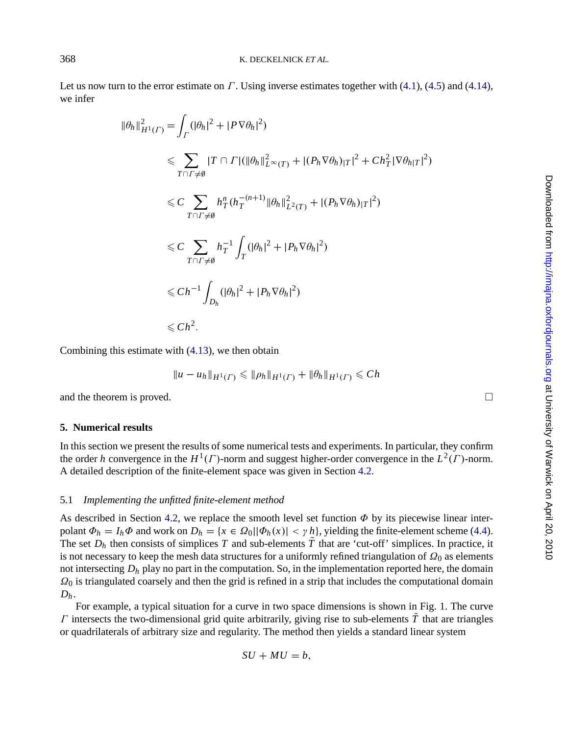<span id="page-17-0"></span>Let us now turn to the error estimate on  $\Gamma$ . Using inverse estimates together with ([4.1](#page-13-0)), ([4.5\)](#page-14-0) and ([4.14](#page-16-0)), we infer

$$
\|\theta_h\|_{H^1(\Gamma)}^2 = \int_{\Gamma} (|\theta_h|^2 + |P \nabla \theta_h|^2)
$$
  
\n
$$
\leqslant \sum_{T \cap \Gamma \neq \emptyset} |T \cap \Gamma| (\|\theta_h\|_{L^{\infty}(T)}^2 + |(P_h \nabla \theta_h)_{|T}|^2 + C h_T^2 |\nabla \theta_h_{|T}|^2)
$$
  
\n
$$
\leqslant C \sum_{T \cap \Gamma \neq \emptyset} h_T^n (h_T^{-(n+1)} \|\theta_h\|_{L^2(T)}^2 + |(P_h \nabla \theta_h)_{|T}|^2)
$$
  
\n
$$
\leqslant C \sum_{T \cap \Gamma \neq \emptyset} h_T^{-1} \int_{T} (|\theta_h|^2 + |P_h \nabla \theta_h|^2)
$$
  
\n
$$
\leqslant C h^{-1} \int_{D_h} (|\theta_h|^2 + |P_h \nabla \theta_h|^2)
$$
  
\n
$$
\leqslant Ch^2.
$$

Combining this estimate with [\(4.13\)](#page-16-0), we then obtain

$$
||u - u_h||_{H^1(\Gamma)} \le ||\rho_h||_{H^1(\Gamma)} + ||\theta_h||_{H^1(\Gamma)} \le Ch
$$

and the theorem is proved.

# **5. Numerical results**

In this section we present the results of some numerical tests and experiments. In particular, they confirm the order *h* convergence in the  $H^1(\Gamma)$ -norm and suggest higher-order convergence in the  $L^2(\Gamma)$ -norm. A detailed description of the finite-element space was given in Section [4.2](#page-14-0).

# 5.1 *Implementing the unfitted finite-element method*

As described in Section [4.2,](#page-14-0) we replace the smooth level set function  $\Phi$  by its piecewise linear interpolant  $\Phi_h = I_h \Phi$  and work on  $D_h = \{x \in \Omega_0 | |\Phi_h(x)| < \gamma h\}$ , yielding the finite-element scheme ([4.4](#page-14-0)). The set  $D_h$  then consists of simplices *T* and sub-elements  $\tilde{T}$  that are 'cut-off' simplices. In practice, it is not necessary to keep the mesh data structures for a uniformly refined triangulation of  $\Omega_0$  as elements not intersecting  $D_h$  play no part in the computation. So, in the implementation reported here, the domain  $\Omega_0$  is triangulated coarsely and then the grid is refined in a strip that includes the computational domain *Dh*.

For example, a typical situation for a curve in two space dimensions is shown in Fig. [1](#page-18-0). The curve Γ intersects the two-dimensional grid quite arbitrarily, giving rise to sub-elements *T*˜ that are triangles or quadrilaterals of arbitrary size and regularity. The method then yields a standard linear system

$$
SU + MU = b,
$$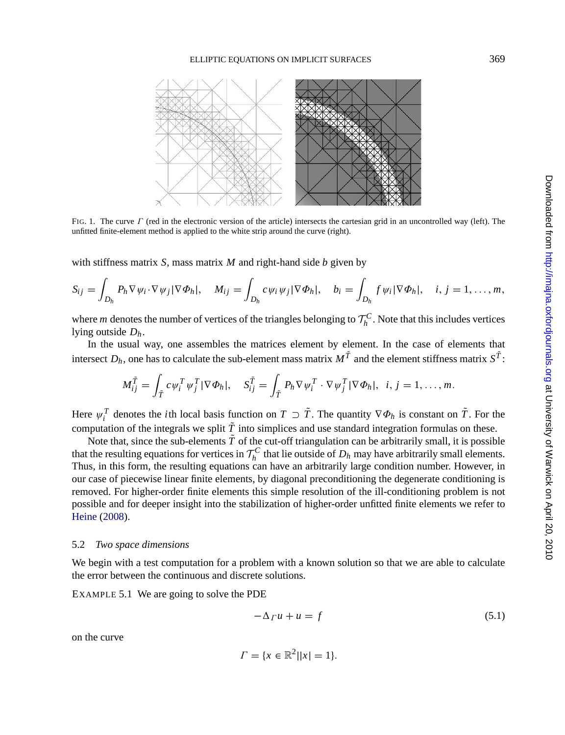### ELLIPTIC EQUATIONS ON IMPLICIT SURFACES 369

<span id="page-18-0"></span>

FIG. 1. The curve  $\Gamma$  (red in the electronic version of the article) intersects the cartesian grid in an uncontrolled way (left). The unfitted finite-element method is applied to the white strip around the curve (right).

with stiffness matrix *S*, mass matrix *M* and right-hand side *b* given by

$$
S_{ij} = \int_{D_h} P_h \nabla \psi_i \cdot \nabla \psi_j |\nabla \Phi_h|, \quad M_{ij} = \int_{D_h} c \psi_i \psi_j |\nabla \Phi_h|, \quad b_i = \int_{D_h} f \psi_i |\nabla \Phi_h|, \quad i, j = 1, \dots, m,
$$

where *m* denotes the number of vertices of the triangles belonging to  $\mathcal{T}_h^C$ . Note that this includes vertices lying outside *Dh*.

In the usual way, one assembles the matrices element by element. In the case of elements that intersect  $D_h$ , one has to calculate the sub-element mass matrix  $M<sup>T</sup>$  and the element stiffness matrix  $S<sup>T</sup>$ :

$$
M_{ij}^{\tilde{T}} = \int_{\tilde{T}} c \psi_i^T \psi_j^T |\nabla \Phi_h|, \quad S_{ij}^{\tilde{T}} = \int_{\tilde{T}} P_h \nabla \psi_i^T \cdot \nabla \psi_j^T |\nabla \Phi_h|, \quad i, j = 1, \dots, m.
$$

Here  $\psi_i^T$  denotes the *i*th local basis function on  $T \supset T$ . The quantity  $\nabla \Phi_h$  is constant on  $\tilde{T}$ . For the computation of the integrals we split  $\tilde{T}$  into simplices and use standard integration formulas on these.

Note that, since the sub-elements  $\tilde{T}$  of the cut-off triangulation can be arbitrarily small, it is possible that the resulting equations for vertices in  $\mathcal{T}_h^C$  that lie outside of  $D_h$  may have arbitrarily small elements. Thus, in this form, the resulting equations can have an arbitrarily large condition number. However, in our case of piecewise linear finite elements, by diagonal preconditioning the degenerate conditioning is removed. For higher-order finite elements this simple resolution of the ill-conditioning problem is not possible and for deeper insight into the stabilization of higher-order unfitted finite elements we refer to [Heine](#page-25-0) ([2008\)](#page-25-0).

### 5.2 *Two space dimensions*

We begin with a test computation for a problem with a known solution so that we are able to calculate the error between the continuous and discrete solutions.

EXAMPLE 5.1 We are going to solve the PDE

$$
-\Delta_{\Gamma} u + u = f \tag{5.1}
$$

on the curve

$$
\Gamma = \{x \in \mathbb{R}^2 | |x| = 1\}.
$$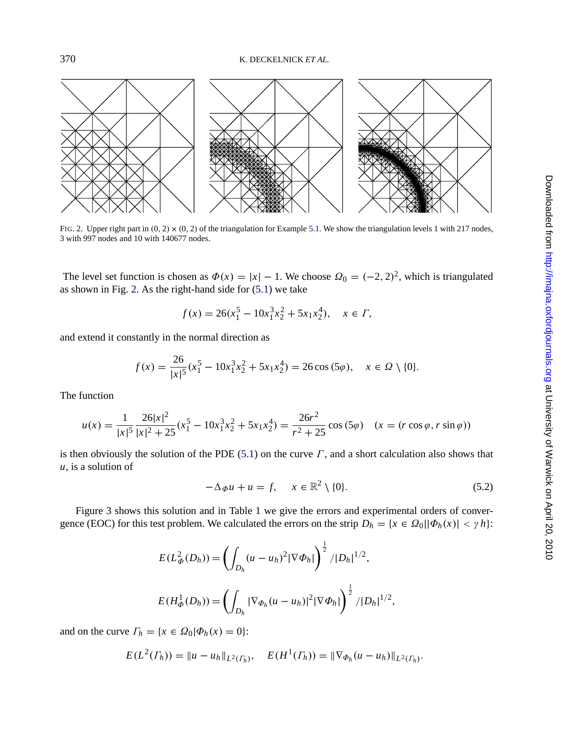<span id="page-19-0"></span>

FIG. 2. Upper right part in  $(0, 2) \times (0, 2)$  of the triangulation for Example [5.1](#page-18-0). We show the triangulation levels 1 with 217 nodes, 3 with 997 nodes and 10 with 140677 nodes.

The level set function is chosen as  $\Phi(x) = |x| - 1$ . We choose  $\Omega_0 = (-2, 2)^2$ , which is triangulated as shown in Fig. 2. As the right-hand side for [\(5.1](#page-18-0)) we take

$$
f(x) = 26(x_1^5 - 10x_1^3x_2^2 + 5x_1x_2^4), \quad x \in \Gamma,
$$

and extend it constantly in the normal direction as

$$
f(x) = \frac{26}{|x|^5} (x_1^5 - 10x_1^3 x_2^2 + 5x_1 x_2^4) = 26 \cos(5\varphi), \quad x \in \Omega \setminus \{0\}.
$$

The function

$$
u(x) = \frac{1}{|x|^5} \frac{26|x|^2}{|x|^2 + 25} (x_1^5 - 10x_1^3 x_2^2 + 5x_1 x_2^4) = \frac{26r^2}{r^2 + 25} \cos(5\varphi) \quad (x = (r \cos \varphi, r \sin \varphi))
$$

is then obviously the solution of the PDE ([5.1](#page-18-0)) on the curve  $\Gamma$ , and a short calculation also shows that *u*, is a solution of

$$
-\Delta_{\Phi} u + u = f, \quad x \in \mathbb{R}^2 \setminus \{0\}.
$$
 (5.2)

Figure 3 shows this solution and in Table 1 we give the errors and experimental orders of convergence (EOC) for this test problem. We calculated the errors on the strip  $D_h = \{x \in \Omega_0 | |\Phi_h(x)| < \gamma h\}$ :

$$
E(L_{\Phi}^{2}(D_{h})) = \left(\int_{D_{h}} (u - u_{h})^{2} |\nabla \Phi_{h}|\right)^{\frac{1}{2}} / |D_{h}|^{1/2},
$$
  

$$
E(H_{\Phi}^{1}(D_{h})) = \left(\int_{D_{h}} |\nabla \Phi_{h}(u - u_{h})|^{2} |\nabla \Phi_{h}|\right)^{\frac{1}{2}} / |D_{h}|^{1/2},
$$

and on the curve  $\Gamma_h = \{x \in \Omega_0 | \Phi_h(x) = 0\}$ :

$$
E(L^{2}(T_{h})) = \|u - u_{h}\|_{L^{2}(T_{h})}, \quad E(H^{1}(T_{h})) = \|\nabla_{\Phi_{h}}(u - u_{h})\|_{L^{2}(T_{h})}.
$$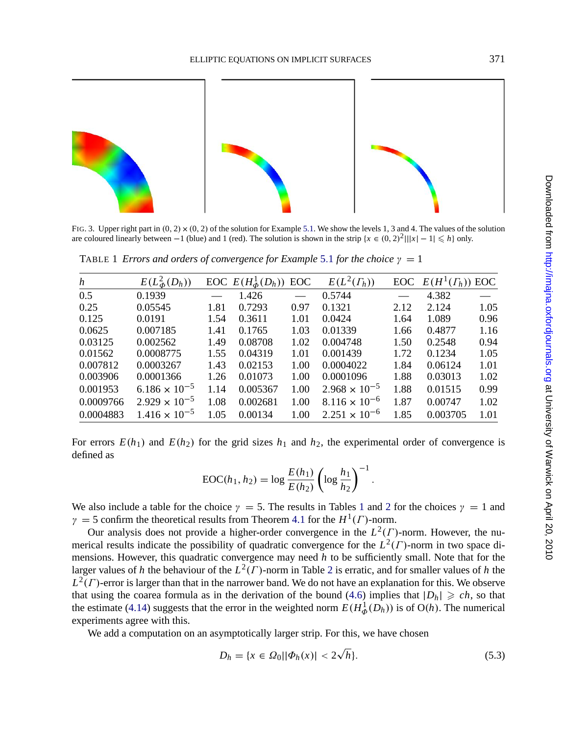<span id="page-20-0"></span>

FIG. 3. Upper right part in  $(0, 2) \times (0, 2)$  of the solution for Example [5.1.](#page-18-0) We show the levels 1, 3 and 4. The values of the solution are coloured linearly between −1 (blue) and 1 (red). The solution is shown in the strip { $x \in (0, 2)^2$ || $|x| - 1| \leq h$ } only.

TABLE [1](#page-18-0) *Errors and orders of convergence for Example* 5.1 *for the choice*  $\gamma = 1$ 

| h         | $E(L^2_{\phi}(D_h))$   |      | EOC $E(H^1_{\Phi}(D_h))$ | EOC  | $E(L^2(\Gamma_h))$     |      | EOC $E(H^1(\Gamma_h))$ EOC |      |
|-----------|------------------------|------|--------------------------|------|------------------------|------|----------------------------|------|
|           |                        |      |                          |      |                        |      |                            |      |
| 0.5       | 0.1939                 |      | 1.426                    |      | 0.5744                 |      | 4.382                      |      |
| 0.25      | 0.05545                | 1.81 | 0.7293                   | 0.97 | 0.1321                 | 2.12 | 2.124                      | 1.05 |
| 0.125     | 0.0191                 | 1.54 | 0.3611                   | 1.01 | 0.0424                 | 1.64 | 1.089                      | 0.96 |
| 0.0625    | 0.007185               | 1.41 | 0.1765                   | 1.03 | 0.01339                | 1.66 | 0.4877                     | 1.16 |
| 0.03125   | 0.002562               | 1.49 | 0.08708                  | 1.02 | 0.004748               | 1.50 | 0.2548                     | 0.94 |
| 0.01562   | 0.0008775              | 1.55 | 0.04319                  | 1.01 | 0.001439               | 1.72 | 0.1234                     | 1.05 |
| 0.007812  | 0.0003267              | 1.43 | 0.02153                  | 1.00 | 0.0004022              | 1.84 | 0.06124                    | 1.01 |
| 0.003906  | 0.0001366              | 1.26 | 0.01073                  | 1.00 | 0.0001096              | 1.88 | 0.03013                    | 1.02 |
| 0.001953  | $6.186 \times 10^{-5}$ | 1.14 | 0.005367                 | 1.00 | $2.968 \times 10^{-5}$ | 1.88 | 0.01515                    | 0.99 |
| 0.0009766 | $2.929 \times 10^{-5}$ | 1.08 | 0.002681                 | 1.00 | $8.116 \times 10^{-6}$ | 1.87 | 0.00747                    | 1.02 |
| 0.0004883 | $1.416 \times 10^{-5}$ | 1.05 | 0.00134                  | 1.00 | $2.251 \times 10^{-6}$ | 1.85 | 0.003705                   | 1.01 |

For errors  $E(h_1)$  and  $E(h_2)$  for the grid sizes  $h_1$  and  $h_2$ , the experimental order of convergence is defined as

$$
EOC(h_1, h_2) = \log \frac{E(h_1)}{E(h_2)} \left( \log \frac{h_1}{h_2} \right)^{-1}.
$$

We also include a table for the choice  $\gamma = 5$ . The results in Tables 1 and [2](#page-21-0) for the choices  $\gamma = 1$  and  $\gamma = 5$  confirm the theoretical results from Theorem [4.1](#page-14-0) for the  $H^1(\Gamma)$ -norm.

Our analysis does not provide a higher-order convergence in the  $L^2(\Gamma)$ -norm. However, the numerical results indicate the possibility of quadratic convergence for the  $L^2(\Gamma)$ -norm in two space dimensions. However, this quadratic convergence may need *h* to be sufficiently small. Note that for the larger values of *h* the behaviour of the *L*2(Γ )-norm in Table [2](#page-21-0) is erratic, and for smaller values of *h* the  $L^2(\Gamma)$ -error is larger than that in the narrower band. We do not have an explanation for this. We observe that using the coarea formula as in the derivation of the bound [\(4.6\)](#page-14-0) implies that  $|D_h| \geq c h$ , so that the estimate [\(4.14](#page-16-0)) suggests that the error in the weighted norm  $E(H_{\phi}^1(D_h))$  is of O(*h*). The numerical experiments agree with this.

We add a computation on an asymptotically larger strip. For this, we have chosen

$$
D_h = \{ x \in \Omega_0 | |\Phi_h(x)| < 2\sqrt{h} \}. \tag{5.3}
$$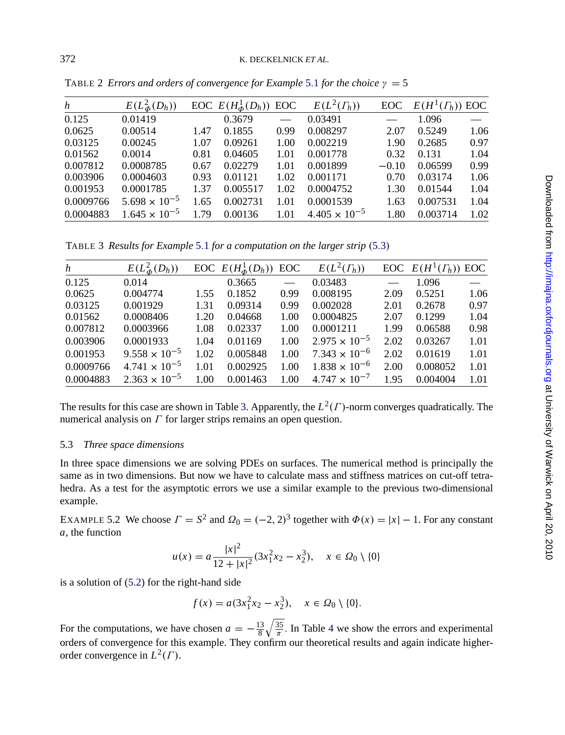| h         | $E(L^2_{\phi}(D_h))$   |      | EOC $E(H^1_{\Phi}(D_h))$ EOC |      | $E(L^2(\Gamma_h))$     | EOC.    | $E(H^1(\Gamma_h))$ EOC |      |
|-----------|------------------------|------|------------------------------|------|------------------------|---------|------------------------|------|
| 0.125     | 0.01419                |      | 0.3679                       |      | 0.03491                |         | 1.096                  |      |
| 0.0625    | 0.00514                | 1.47 | 0.1855                       | 0.99 | 0.008297               | 2.07    | 0.5249                 | 1.06 |
| 0.03125   | 0.00245                | 1.07 | 0.09261                      | 1.00 | 0.002219               | 1.90    | 0.2685                 | 0.97 |
| 0.01562   | 0.0014                 | 0.81 | 0.04605                      | 1.01 | 0.001778               | 0.32    | 0.131                  | 1.04 |
| 0.007812  | 0.0008785              | 0.67 | 0.02279                      | 1.01 | 0.001899               | $-0.10$ | 0.06599                | 0.99 |
| 0.003906  | 0.0004603              | 0.93 | 0.01121                      | 1.02 | 0.001171               | 0.70    | 0.03174                | 1.06 |
| 0.001953  | 0.0001785              | 1.37 | 0.005517                     | 1.02 | 0.0004752              | 1.30    | 0.01544                | 1.04 |
| 0.0009766 | $5.698 \times 10^{-5}$ | 1.65 | 0.002731                     | 1.01 | 0.0001539              | 1.63    | 0.007531               | 1.04 |
| 0.0004883 | $1.645 \times 10^{-5}$ | 1.79 | 0.00136                      | 1.01 | $4.405 \times 10^{-5}$ | 1.80    | 0.003714               | 1.02 |

<span id="page-21-0"></span>TABLE 2 *Errors and orders of convergence for Example* 5.[1](#page-18-0) *for the choice* γ = 5

TABLE 3 *Results for Example* [5](#page-18-0).1 *for a computation on the larger strip* ([5](#page-20-0).3)

| h         | $E(L^2_{\phi}(D_h))$   |      | EOC $E(H^1_{\phi}(D_h))$ EOC |      | $E(L^2(\Gamma_h))$     |      | EOC $E(H^1(\Gamma_h))$ EOC |      |
|-----------|------------------------|------|------------------------------|------|------------------------|------|----------------------------|------|
| 0.125     | 0.014                  |      | 0.3665                       |      | 0.03483                |      | 1.096                      |      |
| 0.0625    | 0.004774               | 1.55 | 0.1852                       | 0.99 | 0.008195               | 2.09 | 0.5251                     | 1.06 |
| 0.03125   | 0.001929               | 1.31 | 0.09314                      | 0.99 | 0.002028               | 2.01 | 0.2678                     | 0.97 |
| 0.01562   | 0.0008406              | 1.20 | 0.04668                      | 1.00 | 0.0004825              | 2.07 | 0.1299                     | 1.04 |
| 0.007812  | 0.0003966              | 1.08 | 0.02337                      | 1.00 | 0.0001211              | 1.99 | 0.06588                    | 0.98 |
| 0.003906  | 0.0001933              | 1.04 | 0.01169                      | 1.00 | $2.975 \times 10^{-5}$ | 2.02 | 0.03267                    | 1.01 |
| 0.001953  | $9.558 \times 10^{-5}$ | 1.02 | 0.005848                     | 1.00 | $7.343 \times 10^{-6}$ | 2.02 | 0.01619                    | 1.01 |
| 0.0009766 | $4.741 \times 10^{-5}$ | 1.01 | 0.002925                     | 1.00 | $1.838 \times 10^{-6}$ | 2.00 | 0.008052                   | 1.01 |
| 0.0004883 | $2.363 \times 10^{-5}$ | 1.00 | 0.001463                     | 1.00 | $4.747 \times 10^{-7}$ | 1.95 | 0.004004                   | 1.01 |

The results for this case are shown in Table 3. Apparently, the  $L^2(\Gamma)$ -norm converges quadratically. The numerical analysis on  $\Gamma$  for larger strips remains an open question.

# 5.3 *Three space dimensions*

In three space dimensions we are solving PDEs on surfaces. The numerical method is principally the same as in two dimensions. But now we have to calculate mass and stiffness matrices on cut-off tetrahedra. As a test for the asymptotic errors we use a similar example to the previous two-dimensional example.

EXAMPLE 5.2 We choose  $\Gamma = S^2$  and  $\Omega_0 = (-2, 2)^3$  together with  $\Phi(x) = |x| - 1$ . For any constant *a*, the function

$$
u(x) = a \frac{|x|^2}{12 + |x|^2} (3x_1^2 x_2 - x_2^3), \quad x \in \Omega_0 \setminus \{0\}
$$

is a solution of ([5.2](#page-19-0)) for the right-hand side

$$
f(x) = a(3x_1^2x_2 - x_2^3), \quad x \in \Omega_0 \setminus \{0\}.
$$

For the computations, we have chosen  $a = -\frac{13}{8} \sqrt{\frac{35}{\pi}}$ . In Table [4](#page-22-0) we show the errors and experimental orders of convergence for this example. They confirm our theoretical results and again indicate higherorder convergence in  $L^2(\Gamma)$ .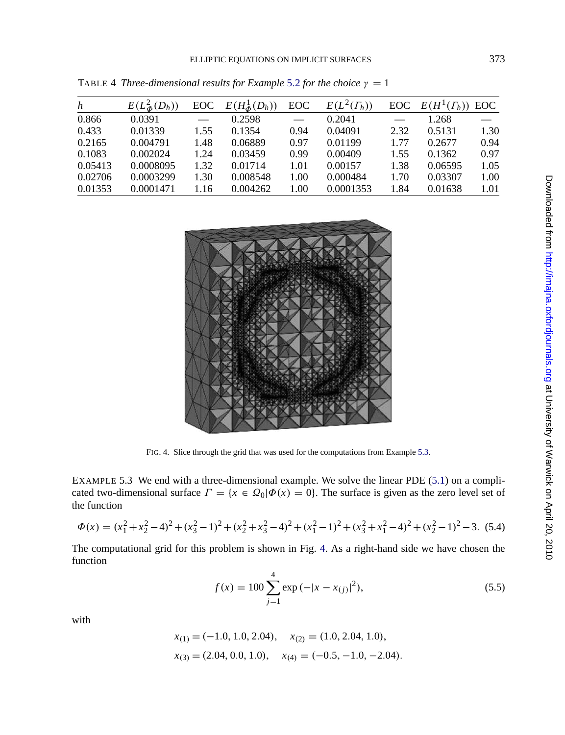| $\boldsymbol{h}$ | $E(L^2_{\phi}(D_h))$ | <b>EOC</b>    | $E(H^1_{\Phi}(D_h))$ | <b>EOC</b>               | $E(L^2(\Gamma_h))$ |      | EOC $E(H^1(\Gamma_h))$ EOC |      |
|------------------|----------------------|---------------|----------------------|--------------------------|--------------------|------|----------------------------|------|
| 0.866            | 0.0391               | $\frac{1}{2}$ | 0.2598               | $\overline{\phantom{m}}$ | 0.2041             |      | 1.268                      |      |
| 0.433            | 0.01339              | 1.55          | 0.1354               | 0.94                     | 0.04091            | 2.32 | 0.5131                     | 1.30 |
| 0.2165           | 0.004791             | 1.48          | 0.06889              | 0.97                     | 0.01199            | 1.77 | 0.2677                     | 0.94 |
| 0.1083           | 0.002024             | 1.24          | 0.03459              | 0.99                     | 0.00409            | 1.55 | 0.1362                     | 0.97 |
| 0.05413          | 0.0008095            | 1.32          | 0.01714              | 1.01                     | 0.00157            | 1.38 | 0.06595                    | 1.05 |
| 0.02706          | 0.0003299            | 1.30          | 0.008548             | 1.00                     | 0.000484           | 1.70 | 0.03307                    | 1.00 |
| 0.01353          | 0.0001471            | 1.16          | 0.004262             | 1.00                     | 0.0001353          | 1.84 | 0.01638                    | 1.01 |

<span id="page-22-0"></span>TABLE 4 *Three-dimensional results for Example* [5](#page-21-0).2 *for the choice*  $\gamma = 1$ 



FIG. 4. Slice through the grid that was used for the computations from Example 5.3.

EXAMPLE 5.3 We end with a three-dimensional example. We solve the linear PDE ([5.1](#page-18-0)) on a complicated two-dimensional surface  $\Gamma = \{x \in \Omega_0 | \Phi(x) = 0\}$ . The surface is given as the zero level set of the function

$$
\Phi(x) = (x_1^2 + x_2^2 - 4)^2 + (x_3^2 - 1)^2 + (x_2^2 + x_3^2 - 4)^2 + (x_1^2 - 1)^2 + (x_3^2 + x_1^2 - 4)^2 + (x_2^2 - 1)^2 - 3. \tag{5.4}
$$

The computational grid for this problem is shown in Fig. 4. As a right-hand side we have chosen the function

$$
f(x) = 100 \sum_{j=1}^{4} \exp(-|x - x_{(j)}|^2),
$$
\n(5.5)

with

$$
x_{(1)} = (-1.0, 1.0, 2.04), \quad x_{(2)} = (1.0, 2.04, 1.0),
$$
  
\n $x_{(3)} = (2.04, 0.0, 1.0), \quad x_{(4)} = (-0.5, -1.0, -2.04).$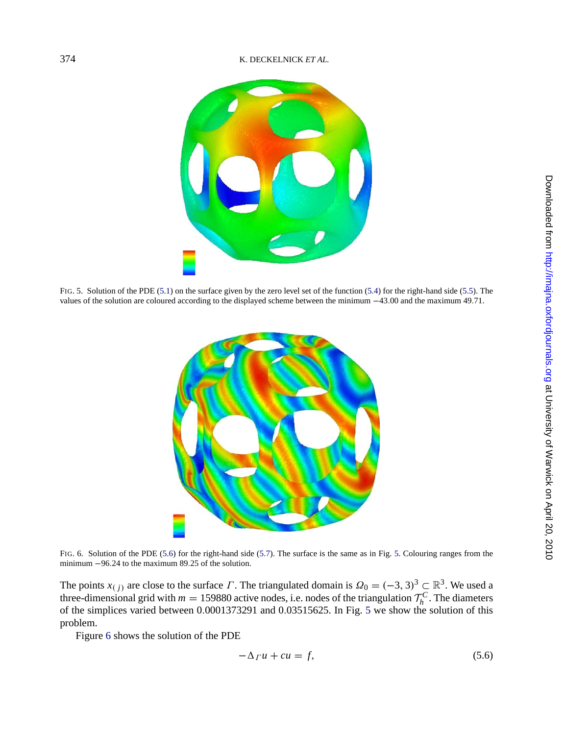<span id="page-23-0"></span>

FIG. 5. Solution of the PDE ([5.1\)](#page-18-0) on the surface given by the zero level set of the function ([5.4\)](#page-22-0) for the right-hand side ([5.5\)](#page-22-0). The values of the solution are coloured according to the displayed scheme between the minimum −43.00 and the maximum 49.71.



FIG. 6. Solution of the PDE (5.6) for the right-hand side [\(5.7](#page-24-0)). The surface is the same as in Fig. 5. Colouring ranges from the minimum −96.24 to the maximum 89.25 of the solution.

The points  $x_{(j)}$  are close to the surface  $\Gamma$ . The triangulated domain is  $\Omega_0 = (-3, 3)^3 \subset \mathbb{R}^3$ . We used a three-dimensional grid with  $m = 159880$  active nodes, i.e. nodes of the triangulation  $\mathcal{T}_h^C$ . The diameters of the simplices varied between 0.0001373291 and 0.03515625. In Fig. 5 we show the solution of this problem.

Figure 6 shows the solution of the PDE

$$
-\Delta_{\Gamma} u + cu = f,\tag{5.6}
$$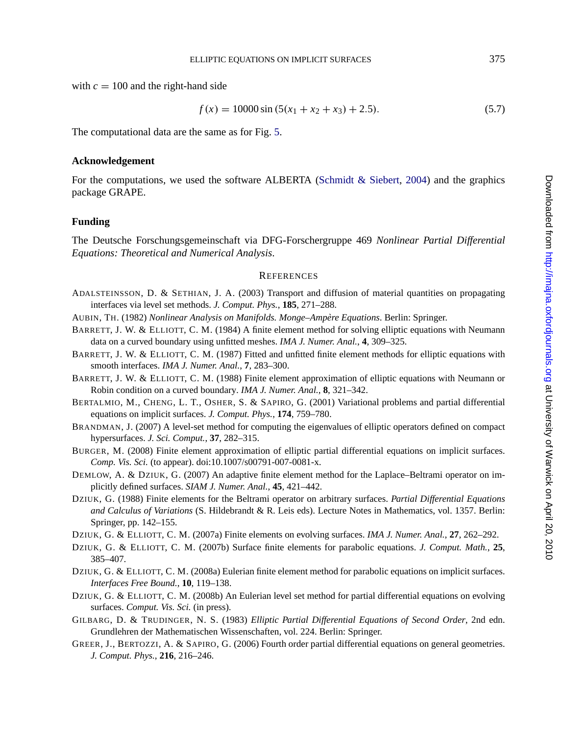<span id="page-24-0"></span>with  $c = 100$  and the right-hand side

$$
f(x) = 10000 \sin (5(x_1 + x_2 + x_3) + 2.5). \tag{5.7}
$$

The computational data are the same as for Fig. [5](#page-23-0).

# **Acknowledgement**

For the computations, we used the software ALBERTA (Schmidt  $\&$  Siebert, [2004\)](#page-25-0) and the graphics package GRAPE.

# **Funding**

The Deutsche Forschungsgemeinschaft via DFG-Forschergruppe 469 *Nonlinear Partial Differential Equations: Theoretical and Numerical Analysis*.

#### **REFERENCES**

- ADALSTEINSSON, D. & SETHIAN, J. A. (2003) Transport and diffusion of material quantities on propagating interfaces via level set methods. *J. Comput. Phys.*, **185**, 271–288.
- AUBIN, TH. (1982) *Nonlinear Analysis on Manifolds. Monge–Ampere Equations `* . Berlin: Springer.
- BARRETT, J. W. & ELLIOTT, C. M. (1984) A finite element method for solving elliptic equations with Neumann data on a curved boundary using unfitted meshes. *IMA J. Numer. Anal.*, **4**, 309–325.
- BARRETT, J. W. & ELLIOTT, C. M. (1987) Fitted and unfitted finite element methods for elliptic equations with smooth interfaces. *IMA J. Numer. Anal.*, **7**, 283–300.
- BARRETT, J. W. & ELLIOTT, C. M. (1988) Finite element approximation of elliptic equations with Neumann or Robin condition on a curved boundary. *IMA J. Numer. Anal.*, **8**, 321–342.
- BERTALMIO, M., CHENG, L. T., OSHER, S. & SAPIRO, G. (2001) Variational problems and partial differential equations on implicit surfaces. *J. Comput. Phys.*, **174**, 759–780.
- BRANDMAN, J. (2007) A level-set method for computing the eigenvalues of elliptic operators defined on compact hypersurfaces. *J. Sci. Comput.*, **37**, 282–315.
- BURGER, M. (2008) Finite element approximation of elliptic partial differential equations on implicit surfaces. *Comp. Vis. Sci.* (to appear). doi:10.1007/s00791-007-0081-x.
- DEMLOW, A. & DZIUK, G. (2007) An adaptive finite element method for the Laplace–Beltrami operator on implicitly defined surfaces. *SIAM J. Numer. Anal.*, **45**, 421–442.
- DZIUK, G. (1988) Finite elements for the Beltrami operator on arbitrary surfaces. *Partial Differential Equations and Calculus of Variations* (S. Hildebrandt & R. Leis eds). Lecture Notes in Mathematics, vol. 1357. Berlin: Springer, pp. 142–155.
- DZIUK, G. & ELLIOTT, C. M. (2007a) Finite elements on evolving surfaces. *IMA J. Numer. Anal.*, **27**, 262–292.
- DZIUK, G. & ELLIOTT, C. M. (2007b) Surface finite elements for parabolic equations. *J. Comput. Math.*, **25**, 385–407.
- DZIUK, G. & ELLIOTT, C. M. (2008a) Eulerian finite element method for parabolic equations on implicit surfaces. *Interfaces Free Bound.*, **10**, 119–138.
- DZIUK, G. & ELLIOTT, C. M. (2008b) An Eulerian level set method for partial differential equations on evolving surfaces. *Comput. Vis. Sci.* (in press).
- GILBARG, D. & TRUDINGER, N. S. (1983) *Elliptic Partial Differential Equations of Second Order*, 2nd edn. Grundlehren der Mathematischen Wissenschaften, vol. 224. Berlin: Springer.
- GREER, J., BERTOZZI, A. & SAPIRO, G. (2006) Fourth order partial differential equations on general geometries. *J. Comput. Phys.*, **216**, 216–246.